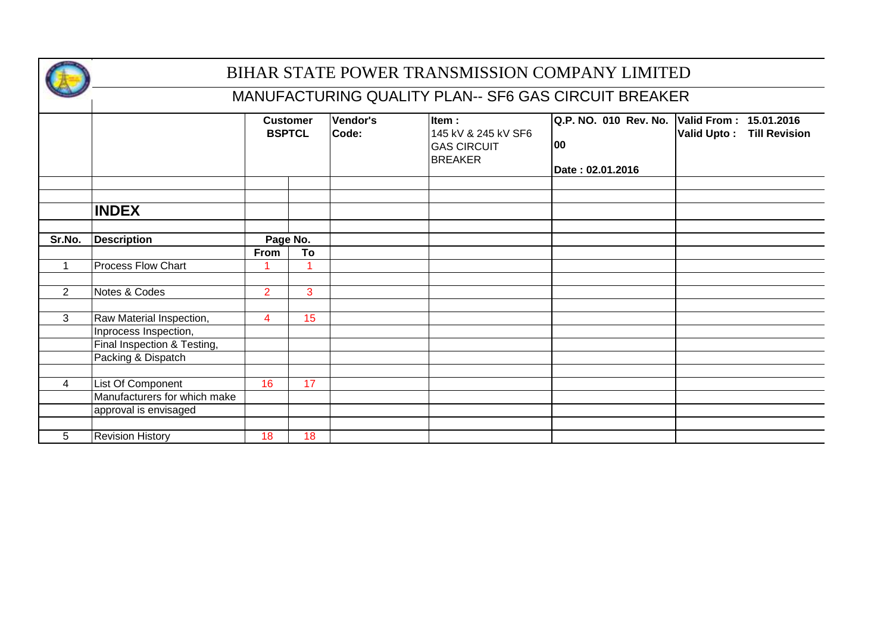

|                |                              |                | <b>Customer</b><br><b>BSPTCL</b> | Vendor's<br>Code: | Item:<br>145 kV & 245 kV SF6<br><b>GAS CIRCUIT</b><br><b>BREAKER</b> | Q.P. NO. 010 Rev. No.<br>100<br>Date: 02.01.2016 | Valid From: 15.01.2016<br>Valid Upto: Till Revision |
|----------------|------------------------------|----------------|----------------------------------|-------------------|----------------------------------------------------------------------|--------------------------------------------------|-----------------------------------------------------|
|                |                              |                |                                  |                   |                                                                      |                                                  |                                                     |
|                | <b>INDEX</b>                 |                |                                  |                   |                                                                      |                                                  |                                                     |
| Sr.No.         | <b>Description</b>           |                | Page No.                         |                   |                                                                      |                                                  |                                                     |
|                |                              | From           | To                               |                   |                                                                      |                                                  |                                                     |
| 1              | <b>Process Flow Chart</b>    |                |                                  |                   |                                                                      |                                                  |                                                     |
|                |                              |                |                                  |                   |                                                                      |                                                  |                                                     |
| $\overline{2}$ | Notes & Codes                | $\overline{2}$ | 3                                |                   |                                                                      |                                                  |                                                     |
|                |                              |                |                                  |                   |                                                                      |                                                  |                                                     |
| 3              | Raw Material Inspection,     | $\overline{4}$ | 15                               |                   |                                                                      |                                                  |                                                     |
|                | Inprocess Inspection,        |                |                                  |                   |                                                                      |                                                  |                                                     |
|                | Final Inspection & Testing,  |                |                                  |                   |                                                                      |                                                  |                                                     |
|                | Packing & Dispatch           |                |                                  |                   |                                                                      |                                                  |                                                     |
|                |                              |                |                                  |                   |                                                                      |                                                  |                                                     |
| 4              | List Of Component            | 16             | 17                               |                   |                                                                      |                                                  |                                                     |
|                | Manufacturers for which make |                |                                  |                   |                                                                      |                                                  |                                                     |
|                | approval is envisaged        |                |                                  |                   |                                                                      |                                                  |                                                     |
|                |                              |                |                                  |                   |                                                                      |                                                  |                                                     |
| 5              | <b>Revision History</b>      | 18             | 18                               |                   |                                                                      |                                                  |                                                     |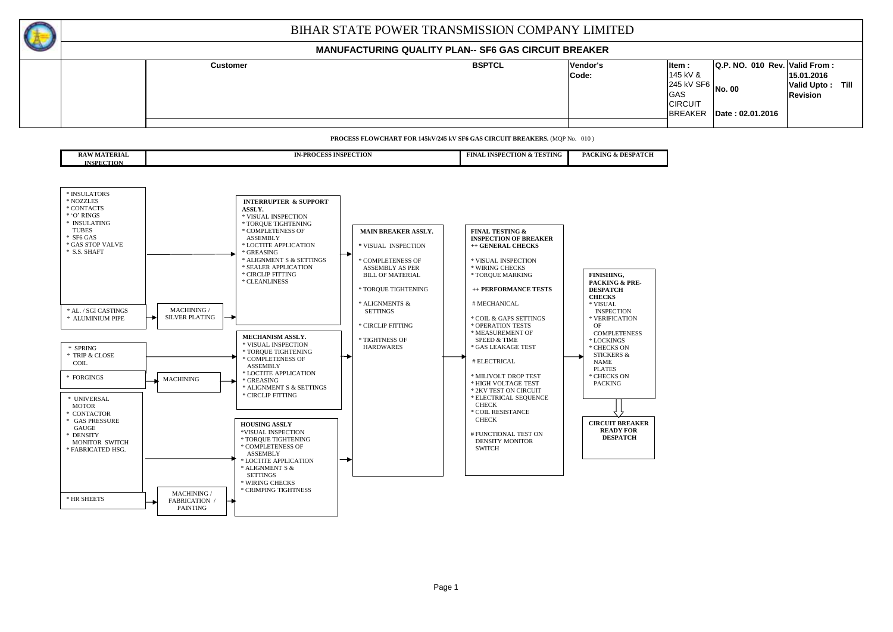### **MANUFACTURING QUALITY PLAN-- SF6 GAS CIRCUIT BREAKER**

|  |                 | _________________________ |          |                     |                                  |                    |      |
|--|-----------------|---------------------------|----------|---------------------|----------------------------------|--------------------|------|
|  | <b>Customer</b> | <b>BSPTCL</b>             | Vendor's | ltem:               | $ Q.P. NQ. 010$ Rev. Valid From: |                    |      |
|  |                 |                           | Code:    | 145 kV &            |                                  | 15.01.2016         |      |
|  |                 |                           |          | $245$ kV SF6 No. 00 |                                  | <b>Valid Upto:</b> | Till |
|  |                 |                           |          | GAS                 |                                  | <b>Revision</b>    |      |
|  |                 |                           |          | <b>CIRCUIT</b>      |                                  |                    |      |
|  |                 |                           |          | <b>BREAKER</b>      | Date: 02.01.2016                 |                    |      |
|  |                 |                           |          |                     |                                  |                    |      |

**PROCESS FLOWCHART FOR 145kV/245 kV SF6 GAS CIRCUIT BREAKERS.** (MQP No. 010 )

| <b>ERIAL</b><br>DA W<br>KA W<br>MA L | <b>TALE</b><br><b>INSPECTION</b><br><b>BOOK</b><br>79 J J<br>. | TESTING<br><b>CONTRACTOR</b><br><b>INSPEC</b><br>'TION<br>`''NA.<br>. GV | DESI<br><b>TROL</b><br><b>PACKING</b><br>. |
|--------------------------------------|----------------------------------------------------------------|--------------------------------------------------------------------------|--------------------------------------------|
| <b>INSPECTION</b>                    |                                                                |                                                                          |                                            |

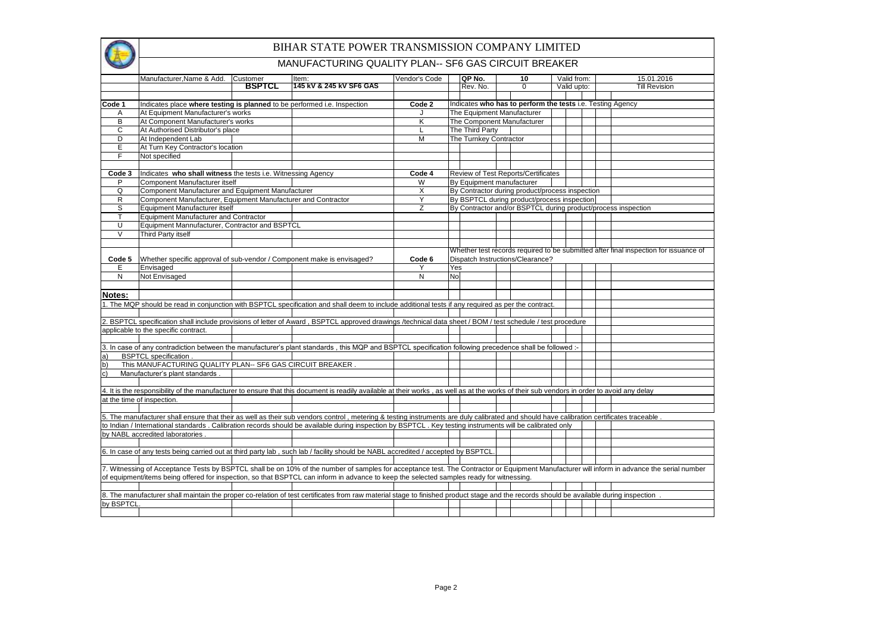| í                   |  |
|---------------------|--|
|                     |  |
|                     |  |
|                     |  |
| $\overline{a}$<br>ţ |  |

|              | Manufacturer, Name & Add.                                                | Customer      | Item:                                                                                                                                                                                      | Vendor's Code |     | QP No.                     | 10                                                         | Valid from: |  | 15.01.2016                                                                                                                                                                                  |
|--------------|--------------------------------------------------------------------------|---------------|--------------------------------------------------------------------------------------------------------------------------------------------------------------------------------------------|---------------|-----|----------------------------|------------------------------------------------------------|-------------|--|---------------------------------------------------------------------------------------------------------------------------------------------------------------------------------------------|
|              |                                                                          | <b>BSPTCL</b> | 145 kV & 245 kV SF6 GAS                                                                                                                                                                    |               |     | Rev. No.                   | $\Omega$                                                   | Valid upto: |  | <b>Till Revision</b>                                                                                                                                                                        |
|              |                                                                          |               |                                                                                                                                                                                            |               |     |                            |                                                            |             |  |                                                                                                                                                                                             |
| Code 1       | Indicates place where testing is planned to be performed i.e. Inspection |               |                                                                                                                                                                                            | Code 2        |     |                            | Indicates who has to perform the tests i.e. Testing Agency |             |  |                                                                                                                                                                                             |
| A            | At Equipment Manufacturer's works                                        |               |                                                                                                                                                                                            |               |     | The Equipment Manufacturer |                                                            |             |  |                                                                                                                                                                                             |
| B            | At Component Manufacturer's works                                        |               |                                                                                                                                                                                            | Κ             |     |                            | The Component Manufacturer                                 |             |  |                                                                                                                                                                                             |
| $\mathsf{C}$ | At Authorised Distributor's place                                        |               |                                                                                                                                                                                            | L             |     | The Third Party            |                                                            |             |  |                                                                                                                                                                                             |
| D            | At Independent Lab                                                       |               |                                                                                                                                                                                            | M             |     | The Turnkey Contractor     |                                                            |             |  |                                                                                                                                                                                             |
| Ε            | At Turn Key Contractor's location                                        |               |                                                                                                                                                                                            |               |     |                            |                                                            |             |  |                                                                                                                                                                                             |
| F            | Not specified                                                            |               |                                                                                                                                                                                            |               |     |                            |                                                            |             |  |                                                                                                                                                                                             |
|              |                                                                          |               |                                                                                                                                                                                            |               |     |                            |                                                            |             |  |                                                                                                                                                                                             |
| Code 3       | Indicates who shall witness the tests i.e. Witnessing Agency             |               |                                                                                                                                                                                            | Code 4        |     |                            | Review of Test Reports/Certificates                        |             |  |                                                                                                                                                                                             |
| P            | Component Manufacturer itself                                            |               |                                                                                                                                                                                            | W             |     | By Equipment manufacturer  |                                                            |             |  |                                                                                                                                                                                             |
| Q            | Component Manufacturer and Equipment Manufacturer                        |               |                                                                                                                                                                                            | X             |     |                            | By Contractor during product/process inspection            |             |  |                                                                                                                                                                                             |
| R            | Component Manufacturer, Equipment Manufacturer and Contractor            |               |                                                                                                                                                                                            | Y             |     |                            | By BSPTCL during product/process inspection                |             |  |                                                                                                                                                                                             |
| S            | Equipment Manufacturer itself                                            |               |                                                                                                                                                                                            | Z             |     |                            |                                                            |             |  | By Contractor and/or BSPTCL during product/process inspection                                                                                                                               |
| $\mathsf{T}$ | <b>Equipment Manufacturer and Contractor</b>                             |               |                                                                                                                                                                                            |               |     |                            |                                                            |             |  |                                                                                                                                                                                             |
| U            | Equipment Mannufacturer, Contractor and BSPTCL                           |               |                                                                                                                                                                                            |               |     |                            |                                                            |             |  |                                                                                                                                                                                             |
| $\vee$       | Third Party itself                                                       |               |                                                                                                                                                                                            |               |     |                            |                                                            |             |  |                                                                                                                                                                                             |
|              |                                                                          |               |                                                                                                                                                                                            |               |     |                            |                                                            |             |  |                                                                                                                                                                                             |
|              |                                                                          |               |                                                                                                                                                                                            |               |     |                            |                                                            |             |  | Whether test records required to be submitted after final inspection for issuance of                                                                                                        |
| Code 5       | Whether specific approval of sub-vendor / Component make is envisaged?   |               |                                                                                                                                                                                            | Code 6        |     |                            | Dispatch Instructions/Clearance?                           |             |  |                                                                                                                                                                                             |
| Ε            | Envisaged                                                                |               |                                                                                                                                                                                            | Y             | Yes |                            |                                                            |             |  |                                                                                                                                                                                             |
| N            | Not Envisaged                                                            |               |                                                                                                                                                                                            | N             | No. |                            |                                                            |             |  |                                                                                                                                                                                             |
|              |                                                                          |               |                                                                                                                                                                                            |               |     |                            |                                                            |             |  |                                                                                                                                                                                             |
| Notes:       |                                                                          |               |                                                                                                                                                                                            |               |     |                            |                                                            |             |  |                                                                                                                                                                                             |
|              |                                                                          |               | 1. The MQP should be read in conjunction with BSPTCL specification and shall deem to include additional tests if any required as per the contract.                                         |               |     |                            |                                                            |             |  |                                                                                                                                                                                             |
|              |                                                                          |               |                                                                                                                                                                                            |               |     |                            |                                                            |             |  |                                                                                                                                                                                             |
|              |                                                                          |               | 2. BSPTCL specification shall include provisions of letter of Award, BSPTCL approved drawings /technical data sheet / BOM / test schedule / test procedure                                 |               |     |                            |                                                            |             |  |                                                                                                                                                                                             |
|              | applicable to the specific contract.                                     |               |                                                                                                                                                                                            |               |     |                            |                                                            |             |  |                                                                                                                                                                                             |
|              |                                                                          |               |                                                                                                                                                                                            |               |     |                            |                                                            |             |  |                                                                                                                                                                                             |
|              |                                                                          |               | 3. In case of any contradiction between the manufacturer's plant standards, this MQP and BSPTCL specification following precedence shall be followed :-                                    |               |     |                            |                                                            |             |  |                                                                                                                                                                                             |
| a)           | <b>BSPTCL</b> specification .                                            |               |                                                                                                                                                                                            |               |     |                            |                                                            |             |  |                                                                                                                                                                                             |
| b)           | This MANUFACTURING QUALITY PLAN-- SF6 GAS CIRCUIT BREAKER                |               |                                                                                                                                                                                            |               |     |                            |                                                            |             |  |                                                                                                                                                                                             |
| $\mathsf{C}$ | Manufacturer's plant standards                                           |               |                                                                                                                                                                                            |               |     |                            |                                                            |             |  |                                                                                                                                                                                             |
|              |                                                                          |               |                                                                                                                                                                                            |               |     |                            |                                                            |             |  |                                                                                                                                                                                             |
|              |                                                                          |               | 4. It is the responsibility of the manufacturer to ensure that this document is readily available at their works, as well as at the works of their sub vendors in order to avoid any delay |               |     |                            |                                                            |             |  |                                                                                                                                                                                             |
|              | at the time of inspection.                                               |               |                                                                                                                                                                                            |               |     |                            |                                                            |             |  |                                                                                                                                                                                             |
|              |                                                                          |               |                                                                                                                                                                                            |               |     |                            |                                                            |             |  |                                                                                                                                                                                             |
|              |                                                                          |               | 5. The manufacturer shall ensure that their as well as their sub vendors control, metering & testing instruments are duly calibrated and should have calibration certificates traceable.   |               |     |                            |                                                            |             |  |                                                                                                                                                                                             |
|              |                                                                          |               | to Indian / International standards . Calibration records should be available during inspection by BSPTCL . Key testing instruments will be calibrated only                                |               |     |                            |                                                            |             |  |                                                                                                                                                                                             |
|              | by NABL accredited laboratories.                                         |               |                                                                                                                                                                                            |               |     |                            |                                                            |             |  |                                                                                                                                                                                             |
|              |                                                                          |               |                                                                                                                                                                                            |               |     |                            |                                                            |             |  |                                                                                                                                                                                             |
|              |                                                                          |               | 6. In case of any tests being carried out at third party lab, such lab / facility should be NABL accredited / accepted by BSPTCL.                                                          |               |     |                            |                                                            |             |  |                                                                                                                                                                                             |
|              |                                                                          |               |                                                                                                                                                                                            |               |     |                            |                                                            |             |  |                                                                                                                                                                                             |
|              |                                                                          |               | of equipment/items being offered for inspection, so that BSPTCL can inform in advance to keep the selected samples ready for witnessing.                                                   |               |     |                            |                                                            |             |  | 7. Witnessing of Acceptance Tests by BSPTCL shall be on 10% of the number of samples for acceptance test. The Contractor or Equipment Manufacturer will inform in advance the serial number |
|              |                                                                          |               |                                                                                                                                                                                            |               |     |                            |                                                            |             |  |                                                                                                                                                                                             |
|              |                                                                          |               | 8. The manufacturer shall maintain the proper co-relation of test certificates from raw material stage to finished product stage and the records should be available during inspection     |               |     |                            |                                                            |             |  |                                                                                                                                                                                             |
| by BSPTCL    |                                                                          |               |                                                                                                                                                                                            |               |     |                            |                                                            |             |  |                                                                                                                                                                                             |
|              |                                                                          |               |                                                                                                                                                                                            |               |     |                            |                                                            |             |  |                                                                                                                                                                                             |
|              |                                                                          |               |                                                                                                                                                                                            |               |     |                            |                                                            |             |  |                                                                                                                                                                                             |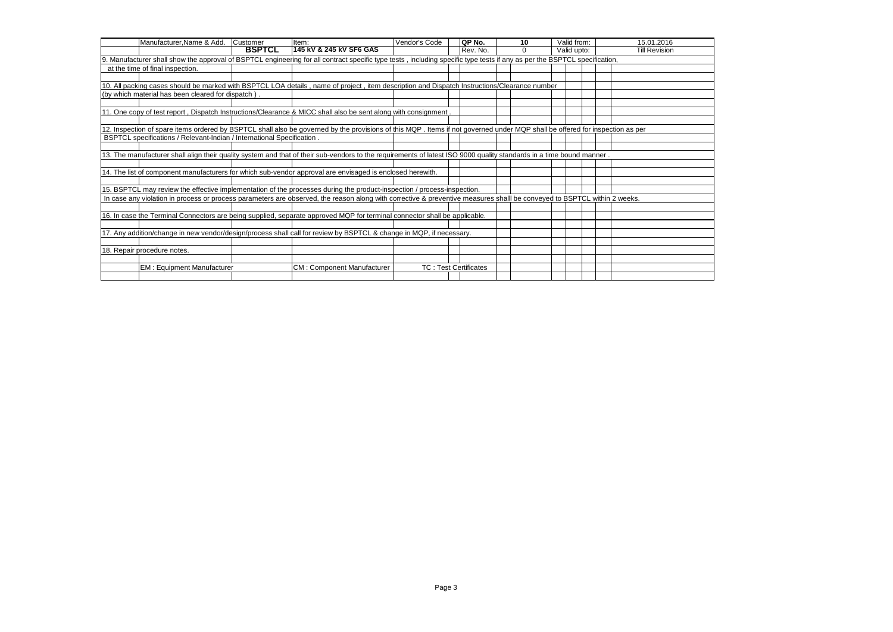| Manufacturer, Name & Add.                                                                                                                                                     | Customer      | Item:                             | Vendor's Code | QP No.                       | 10 | Valid from: |  | 15.01.2016           |
|-------------------------------------------------------------------------------------------------------------------------------------------------------------------------------|---------------|-----------------------------------|---------------|------------------------------|----|-------------|--|----------------------|
|                                                                                                                                                                               | <b>BSPTCL</b> | 145 KV & 245 KV SF6 GAS           |               | Rev. No.                     |    | Valid upto: |  | <b>Till Revision</b> |
| I9.<br>Manufacturer shall show the approval of BSPTCL engineering for all contract specific type tests, including specific type tests if any as per the BSPTCL specification, |               |                                   |               |                              |    |             |  |                      |
| at the time of final inspection.                                                                                                                                              |               |                                   |               |                              |    |             |  |                      |
|                                                                                                                                                                               |               |                                   |               |                              |    |             |  |                      |
| 10. All packing cases should be marked with BSPTCL LOA details, name of project, item description and Dispatch Instructions/Clearance number                                  |               |                                   |               |                              |    |             |  |                      |
| (by which material has been cleared for dispatch)                                                                                                                             |               |                                   |               |                              |    |             |  |                      |
|                                                                                                                                                                               |               |                                   |               |                              |    |             |  |                      |
| 11. One copy of test report, Dispatch Instructions/Clearance & MICC shall also be sent along with consignment.                                                                |               |                                   |               |                              |    |             |  |                      |
|                                                                                                                                                                               |               |                                   |               |                              |    |             |  |                      |
| 12. Inspection of spare items ordered by BSPTCL shall also be governed by the provisions of this MQP. Items if not governed under MQP shall be offered for inspection as per  |               |                                   |               |                              |    |             |  |                      |
| BSPTCL specifications / Relevant-Indian / International Specification.                                                                                                        |               |                                   |               |                              |    |             |  |                      |
|                                                                                                                                                                               |               |                                   |               |                              |    |             |  |                      |
| 13. The manufacturer shall align their quality system and that of their sub-vendors to the requirements of latest ISO 9000 quality standards in a time bound manner           |               |                                   |               |                              |    |             |  |                      |
|                                                                                                                                                                               |               |                                   |               |                              |    |             |  |                      |
| 14. The list of component manufacturers for which sub-vendor approval are envisaged is enclosed herewith.                                                                     |               |                                   |               |                              |    |             |  |                      |
|                                                                                                                                                                               |               |                                   |               |                              |    |             |  |                      |
| 15. BSPTCL may review the effective implementation of the processes during the product-inspection / process-inspection.                                                       |               |                                   |               |                              |    |             |  |                      |
| In case any violation in process or process parameters are observed, the reason along with corrective & preventive measures shalll be conveyed to BSPTCL within 2 weeks.      |               |                                   |               |                              |    |             |  |                      |
|                                                                                                                                                                               |               |                                   |               |                              |    |             |  |                      |
| 16. In case the Terminal Connectors are being supplied, separate approved MQP for terminal connector shall be applicable.                                                     |               |                                   |               |                              |    |             |  |                      |
|                                                                                                                                                                               |               |                                   |               |                              |    |             |  |                      |
| 17. Any addition/change in new vendor/design/process shall call for review by BSPTCL & change in MQP, if necessary.                                                           |               |                                   |               |                              |    |             |  |                      |
|                                                                                                                                                                               |               |                                   |               |                              |    |             |  |                      |
| 18. Repair procedure notes.                                                                                                                                                   |               |                                   |               |                              |    |             |  |                      |
|                                                                                                                                                                               |               |                                   |               |                              |    |             |  |                      |
| <b>EM: Equipment Manufacturer</b>                                                                                                                                             |               | <b>CM: Component Manufacturer</b> |               | <b>TC: Test Certificates</b> |    |             |  |                      |
|                                                                                                                                                                               |               |                                   |               |                              |    |             |  |                      |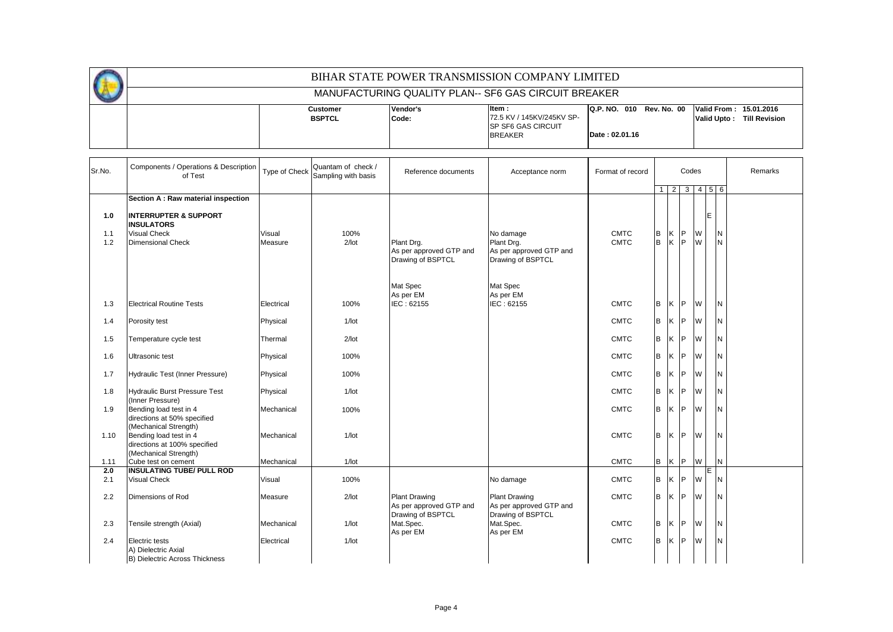|                   |                                                                                                          |                   |                                           |                                                            | BIHAR STATE POWER TRANSMISSION COMPANY LIMITED                             |                                            |              |   |            |           |                             |                                                     |
|-------------------|----------------------------------------------------------------------------------------------------------|-------------------|-------------------------------------------|------------------------------------------------------------|----------------------------------------------------------------------------|--------------------------------------------|--------------|---|------------|-----------|-----------------------------|-----------------------------------------------------|
|                   |                                                                                                          |                   |                                           |                                                            | MANUFACTURING QUALITY PLAN-- SF6 GAS CIRCUIT BREAKER                       |                                            |              |   |            |           |                             |                                                     |
|                   |                                                                                                          |                   | <b>Customer</b><br><b>BSPTCL</b>          | Vendor's<br>Code:                                          | Item:<br>72.5 KV / 145KV/245KV SP-<br>SP SF6 GAS CIRCUIT<br><b>BREAKER</b> | Q.P. NO. 010 Rev. No. 00<br>Date: 02.01.16 |              |   |            |           |                             | Valid From: 15.01.2016<br>Valid Upto: Till Revision |
| Sr.No.            | Components / Operations & Description<br>of Test                                                         | Type of Check     | Quantam of check /<br>Sampling with basis | Reference documents                                        | Acceptance norm                                                            | Format of record                           |              |   |            | Codes     |                             | Remarks                                             |
|                   | Section A : Raw material inspection                                                                      |                   |                                           |                                                            |                                                                            |                                            | $\mathbf{1}$ | 2 |            |           | $3 \quad 4 \quad 5 \quad 6$ |                                                     |
| 1.0<br>1.1<br>1.2 | <b>INTERRUPTER &amp; SUPPORT</b><br><b>INSULATORS</b><br><b>Visual Check</b><br><b>Dimensional Check</b> | Visual<br>Measure | 100%<br>$2$ /lot                          | Plant Drg.<br>As per approved GTP and<br>Drawing of BSPTCL | No damage<br>Plant Drg.<br>As per approved GTP and<br>Drawing of BSPTCL    | <b>CMTC</b><br><b>CMTC</b>                 | B<br>lв.     |   | K P<br>K P | W<br>W    | E<br>IN<br>IN.              |                                                     |
| 1.3               | <b>Electrical Routine Tests</b>                                                                          | Electrical        | 100%                                      | Mat Spec<br>As per EM<br>IEC: 62155                        | Mat Spec<br>As per EM<br>IEC: 62155                                        | <b>CMTC</b>                                | lв           |   | K P        | W         | <b>N</b>                    |                                                     |
| 1.4               | Porosity test                                                                                            | Physical          | $1/$ lot                                  |                                                            |                                                                            | <b>CMTC</b>                                | B            |   | K P        | W         | <b>N</b>                    |                                                     |
| 1.5               | Temperature cycle test                                                                                   | Thermal           | $2$ /lot                                  |                                                            |                                                                            | <b>CMTC</b>                                | lв           |   | K P        | W         | <b>N</b>                    |                                                     |
| 1.6               | Ultrasonic test                                                                                          | Physical          | 100%                                      |                                                            |                                                                            | <b>CMTC</b>                                | lв           |   | K P        | W         | <b>N</b>                    |                                                     |
| 1.7               | Hydraulic Test (Inner Pressure)                                                                          | Physical          | 100%                                      |                                                            |                                                                            | <b>CMTC</b>                                | lв           |   | K P        | ${\sf W}$ | IN.                         |                                                     |
| 1.8               | <b>Hydraulic Burst Pressure Test</b>                                                                     | Physical          | $1/$ lot                                  |                                                            |                                                                            | <b>CMTC</b>                                | B            |   | K P        | W         | <b>N</b>                    |                                                     |
| 1.9               | (Inner Pressure)<br>Bending load test in 4<br>directions at 50% specified                                | Mechanical        | 100%                                      |                                                            |                                                                            | <b>CMTC</b>                                | l B          |   | K P        | W         | <b>N</b>                    |                                                     |
| 1.10              | (Mechanical Strength)<br>Bending load test in 4<br>directions at 100% specified                          | Mechanical        | $1/$ lot                                  |                                                            |                                                                            | <b>CMTC</b>                                | l B          |   | K P        | W         | IN.                         |                                                     |
| 1.11              | (Mechanical Strength)<br>Cube test on cement                                                             | Mechanical        | $1/$ lot                                  |                                                            |                                                                            | <b>CMTC</b>                                | B            |   | K P        | W         | IN.                         |                                                     |
| 2.0<br>2.1        | <b>INSULATING TUBE/ PULL ROD</b><br><b>Visual Check</b>                                                  | Visual            | 100%                                      |                                                            | No damage                                                                  | <b>CMTC</b>                                | lв           |   | K P        | W         | E<br>N                      |                                                     |
| 2.2               | Dimensions of Rod                                                                                        | Measure           | $2$ /lot                                  | <b>Plant Drawing</b><br>As per approved GTP and            | <b>Plant Drawing</b><br>As per approved GTP and                            | <b>CMTC</b>                                | lв           |   | K P        | <b>W</b>  | IN.                         |                                                     |
| 2.3               | Tensile strength (Axial)                                                                                 | Mechanical        | $1/$ lot                                  | Drawing of BSPTCL<br>Mat.Spec.<br>As per EM                | Drawing of BSPTCL<br>Mat.Spec.<br>As per EM                                | <b>CMTC</b>                                | B            |   | K P        | W         | <b>N</b>                    |                                                     |
| 2.4               | Electric tests<br>A) Dielectric Axial<br>B) Dielectric Across Thickness                                  | Electrical        | $1/$ lot                                  |                                                            |                                                                            | <b>CMTC</b>                                | l B          |   | K P        | W         | N                           |                                                     |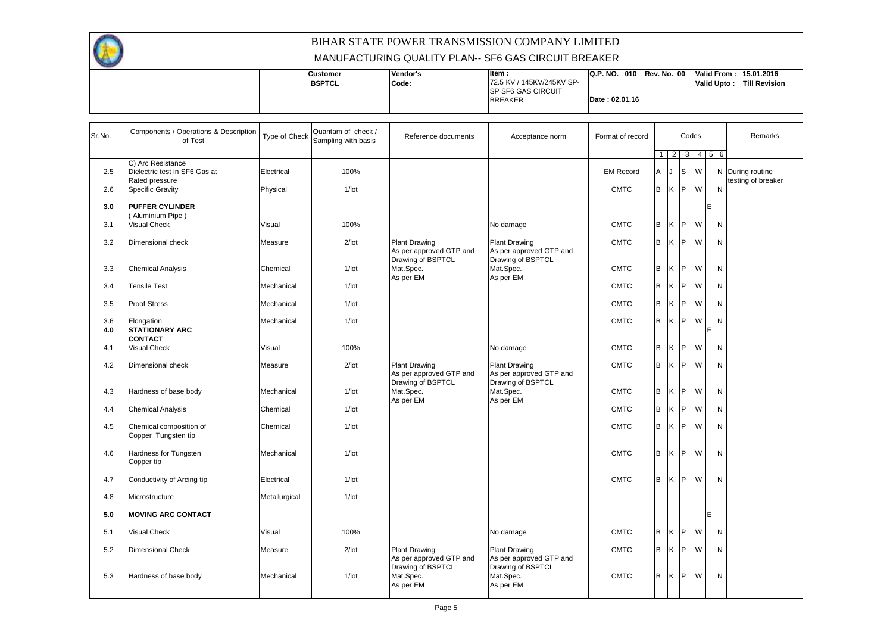

| $\overline{\phantom{a}}$ |                 |                 |                            |                                 |                                     |
|--------------------------|-----------------|-----------------|----------------------------|---------------------------------|-------------------------------------|
|                          | <b>Justomer</b> | <b>Vendor's</b> | litem :                    | IQ.P. NO.<br>Rev. No. 00<br>010 | Valid From:<br>15.01.2016           |
|                          | <b>BSPTCL</b>   | Code:           | 72.5 KV / 145KV/245KV SP-  |                                 | Valid Upto:<br><b>Till Revision</b> |
|                          |                 |                 | <b>ISP SF6 GAS CIRCUIT</b> |                                 |                                     |
|                          |                 |                 | <b>BREAKER</b>             | Date: 02.01.16                  |                                     |
|                          |                 |                 |                            |                                 |                                     |

| Sr.No. | Components / Operations & Description<br>of Test                     | Type of Check | Quantam of check /<br>Sampling with basis | Reference documents                                                  | Acceptance norm                                                      | Format of record |                |             | Codes        |   |               | Remarks                                |
|--------|----------------------------------------------------------------------|---------------|-------------------------------------------|----------------------------------------------------------------------|----------------------------------------------------------------------|------------------|----------------|-------------|--------------|---|---------------|----------------------------------------|
|        |                                                                      |               |                                           |                                                                      |                                                                      |                  | $\mathbf{1}$   | $2^{\circ}$ |              |   | 3   4   5   6 |                                        |
| 2.5    | C) Arc Resistance<br>Dielectric test in SF6 Gas at<br>Rated pressure | Electrical    | 100%                                      |                                                                      |                                                                      | <b>EM Record</b> | $\overline{A}$ | J.          | <b>S</b>     | W |               | N During routine<br>testing of breaker |
| 2.6    | <b>Specific Gravity</b>                                              | Physical      | $1/$ lot                                  |                                                                      |                                                                      | <b>CMTC</b>      | B              | K           | $\mathsf{P}$ | W | N             |                                        |
| 3.0    | <b>PUFFER CYLINDER</b><br>(Aluminium Pipe)                           |               |                                           |                                                                      |                                                                      |                  |                |             |              |   | IE.           |                                        |
| 3.1    | <b>Visual Check</b>                                                  | Visual        | 100%                                      |                                                                      | No damage                                                            | <b>CMTC</b>      | B              | K P         |              | W | N             |                                        |
| 3.2    | Dimensional check                                                    | Measure       | $2$ /lot                                  | <b>Plant Drawing</b><br>As per approved GTP and<br>Drawing of BSPTCL | <b>Plant Drawing</b><br>As per approved GTP and<br>Drawing of BSPTCL | <b>CMTC</b>      | B              | K           | P            | W | N             |                                        |
| 3.3    | <b>Chemical Analysis</b>                                             | Chemical      | $1/$ lot                                  | Mat.Spec.<br>As per EM                                               | Mat.Spec.<br>As per EM                                               | <b>CMTC</b>      | B              | K P         |              | W | N             |                                        |
| 3.4    | <b>Tensile Test</b>                                                  | Mechanical    | $1/$ lot                                  |                                                                      |                                                                      | <b>CMTC</b>      | B              | Κ           | P            | W | N             |                                        |
| 3.5    | <b>Proof Stress</b>                                                  | Mechanical    | $1/$ lot                                  |                                                                      |                                                                      | <b>CMTC</b>      | B              | Κ           | IP.          | W | Ν             |                                        |
| 3.6    | Elongation                                                           | Mechanical    | $1/$ lot                                  |                                                                      |                                                                      | <b>CMTC</b>      | B              | <b>K</b>    | P            | W | N             |                                        |
| 4.0    | <b>STATIONARY ARC</b><br><b>CONTACT</b>                              |               |                                           |                                                                      |                                                                      |                  |                |             |              |   | E             |                                        |
| 4.1    | <b>Visual Check</b>                                                  | Visual        | 100%                                      |                                                                      | No damage                                                            | <b>CMTC</b>      | B              | K           | $\mathsf{P}$ | W | N             |                                        |
| 4.2    | Dimensional check                                                    | Measure       | $2$ /lot                                  | <b>Plant Drawing</b><br>As per approved GTP and<br>Drawing of BSPTCL | <b>Plant Drawing</b><br>As per approved GTP and<br>Drawing of BSPTCL | <b>CMTC</b>      | B              | K           | P            | W | N             |                                        |
| 4.3    | Hardness of base body                                                | Mechanical    | $1/$ lot                                  | Mat.Spec.<br>As per EM                                               | Mat.Spec.<br>As per EM                                               | <b>CMTC</b>      | B              | Κ           | P            | W | N             |                                        |
| 4.4    | <b>Chemical Analysis</b>                                             | Chemical      | $1/$ lot                                  |                                                                      |                                                                      | <b>CMTC</b>      | B              | K P         |              | W | N             |                                        |
| 4.5    | Chemical composition of<br>Copper Tungsten tip                       | Chemical      | $1/$ lot                                  |                                                                      |                                                                      | <b>CMTC</b>      | B              | $K$ $ P $   |              | W | N             |                                        |
| 4.6    | Hardness for Tungsten<br>Copper tip                                  | Mechanical    | $1/$ lot                                  |                                                                      |                                                                      | <b>CMTC</b>      | B              | K P         |              | W | N             |                                        |
| 4.7    | Conductivity of Arcing tip                                           | Electrical    | $1/$ lot                                  |                                                                      |                                                                      | <b>CMTC</b>      | B              | K           | P            | W | N             |                                        |
| 4.8    | Microstructure                                                       | Metallurgical | $1/$ lot                                  |                                                                      |                                                                      |                  |                |             |              |   |               |                                        |
| 5.0    | <b>MOVING ARC CONTACT</b>                                            |               |                                           |                                                                      |                                                                      |                  |                |             |              |   | E             |                                        |
| 5.1    | Visual Check                                                         | Visual        | 100%                                      |                                                                      | No damage                                                            | <b>CMTC</b>      | B              | Κ           | -lP          | W | N             |                                        |
| 5.2    | <b>Dimensional Check</b>                                             | Measure       | $2$ /lot                                  | <b>Plant Drawing</b><br>As per approved GTP and                      | <b>Plant Drawing</b><br>As per approved GTP and                      | <b>CMTC</b>      | B              | K           | $\mathsf{P}$ | W | N             |                                        |
| 5.3    | Hardness of base body                                                | Mechanical    | $1/$ lot                                  | Drawing of BSPTCL<br>Mat.Spec.<br>As per EM                          | Drawing of BSPTCL<br>Mat.Spec.<br>As per EM                          | <b>CMTC</b>      | B              | K P         |              | W | N             |                                        |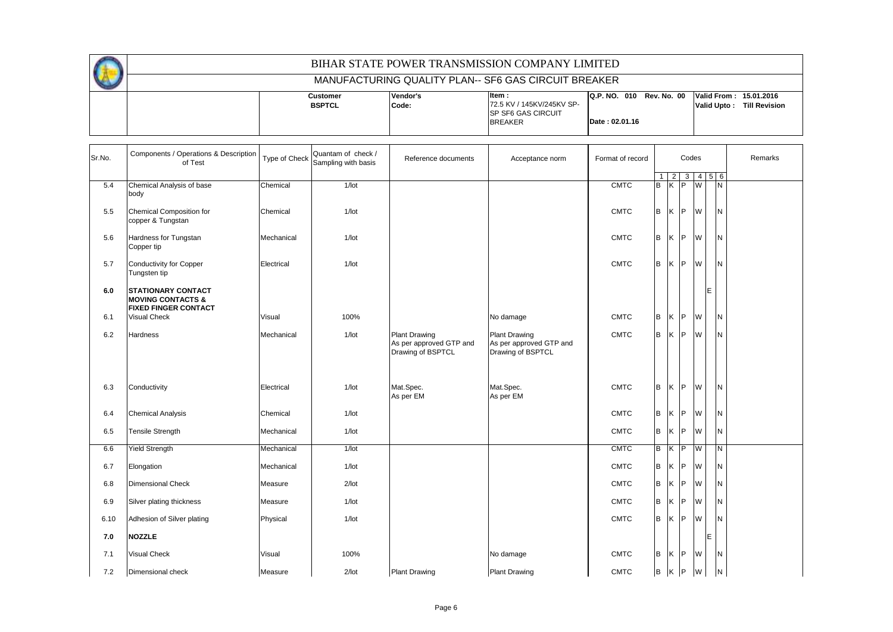|  | <b>Customer</b> | lVendor's | ltem :                     | Q.P. NO. 010   | Rev. No. 00 Valid From: 15.01.2016  |
|--|-----------------|-----------|----------------------------|----------------|-------------------------------------|
|  | <b>BSPTCL</b>   | Code:     | 72.5 KV / 145KV/245KV SP-  |                | Valid Upto:<br><b>Till Revision</b> |
|  |                 |           | <b>ISP SF6 GAS CIRCUIT</b> |                |                                     |
|  |                 |           | <b>BREAKER</b>             | Date: 02.01.16 |                                     |
|  |                 |           |                            |                |                                     |

| Sr.No. | Components / Operations & Description<br>of Test                                         | Type of Check | Quantam of check /<br>Sampling with basis | Reference documents                                                  | Acceptance norm                                                      | Format of record |   | Codes                   |   |   |                  | Remarks |
|--------|------------------------------------------------------------------------------------------|---------------|-------------------------------------------|----------------------------------------------------------------------|----------------------------------------------------------------------|------------------|---|-------------------------|---|---|------------------|---------|
|        |                                                                                          |               |                                           |                                                                      |                                                                      |                  |   | 2                       | 3 |   | $4\overline{5}6$ |         |
| 5.4    | Chemical Analysis of base<br>body                                                        | Chemical      | $1/$ lot                                  |                                                                      |                                                                      | <b>CMTC</b>      | B | $K$ $\overline{P}$      |   | M | N                |         |
| 5.5    | Chemical Composition for<br>copper & Tungstan                                            | Chemical      | $1/$ lot                                  |                                                                      |                                                                      | <b>CMTC</b>      | B | K                       | P | W | N                |         |
| 5.6    | Hardness for Tungstan<br>Copper tip                                                      | Mechanical    | $1/$ lot                                  |                                                                      |                                                                      | <b>CMTC</b>      | B | K                       | P | W | N                |         |
| 5.7    | Conductivity for Copper<br>Tungsten tip                                                  | Electrical    | $1/$ lot                                  |                                                                      |                                                                      | <b>CMTC</b>      | B | ΙK.                     | P | W | N                |         |
| 6.0    | <b>STATIONARY CONTACT</b><br><b>MOVING CONTACTS &amp;</b><br><b>FIXED FINGER CONTACT</b> |               |                                           |                                                                      |                                                                      |                  |   |                         |   |   | E                |         |
| 6.1    | <b>Visual Check</b>                                                                      | Visual        | 100%                                      |                                                                      | No damage                                                            | <b>CMTC</b>      | B | <b>K</b>                | P | W | N                |         |
| 6.2    | <b>Hardness</b>                                                                          | Mechanical    | $1/$ lot                                  | <b>Plant Drawing</b><br>As per approved GTP and<br>Drawing of BSPTCL | <b>Plant Drawing</b><br>As per approved GTP and<br>Drawing of BSPTCL | <b>CMTC</b>      | B | ΙK                      | P | W | N                |         |
| 6.3    | Conductivity                                                                             | Electrical    | $1/$ lot                                  | Mat.Spec.<br>As per EM                                               | Mat.Spec.<br>As per EM                                               | <b>CMTC</b>      | B | K                       | P | W | N                |         |
| 6.4    | <b>Chemical Analysis</b>                                                                 | Chemical      | $1/$ lot                                  |                                                                      |                                                                      | <b>CMTC</b>      | B | ΙK                      | P | W | N                |         |
| 6.5    | <b>Tensile Strength</b>                                                                  | Mechanical    | $1/$ lot                                  |                                                                      |                                                                      | <b>CMTC</b>      | B | ΙK.                     | P | W | N                |         |
| 6.6    | <b>Yield Strength</b>                                                                    | Mechanical    | $1/$ lot                                  |                                                                      |                                                                      | <b>CMTC</b>      | B | $\overline{\mathsf{K}}$ | P | W | N                |         |
| 6.7    | Elongation                                                                               | Mechanical    | $1/$ lot                                  |                                                                      |                                                                      | <b>CMTC</b>      | B | ΙK                      | P | W | N                |         |
| 6.8    | <b>Dimensional Check</b>                                                                 | Measure       | $2$ /lot                                  |                                                                      |                                                                      | <b>CMTC</b>      | B | ΙK                      | P | W | N                |         |
| 6.9    | Silver plating thickness                                                                 | Measure       | $1/$ lot                                  |                                                                      |                                                                      | <b>CMTC</b>      | B | ΙK                      | P | W | N                |         |
| 6.10   | Adhesion of Silver plating                                                               | Physical      | $1/$ lot                                  |                                                                      |                                                                      | <b>CMTC</b>      | B | ΙK.                     | P | W | N                |         |
| 7.0    | <b>NOZZLE</b>                                                                            |               |                                           |                                                                      |                                                                      |                  |   |                         |   |   | IE.              |         |
| 7.1    | <b>Visual Check</b>                                                                      | Visual        | 100%                                      |                                                                      | No damage                                                            | <b>CMTC</b>      | B | ΙK                      | P | W | N                |         |
| 7.2    | Dimensional check                                                                        | Measure       | $2$ /lot                                  | <b>Plant Drawing</b>                                                 | <b>Plant Drawing</b>                                                 | <b>CMTC</b>      | B | K                       | P | W | N                |         |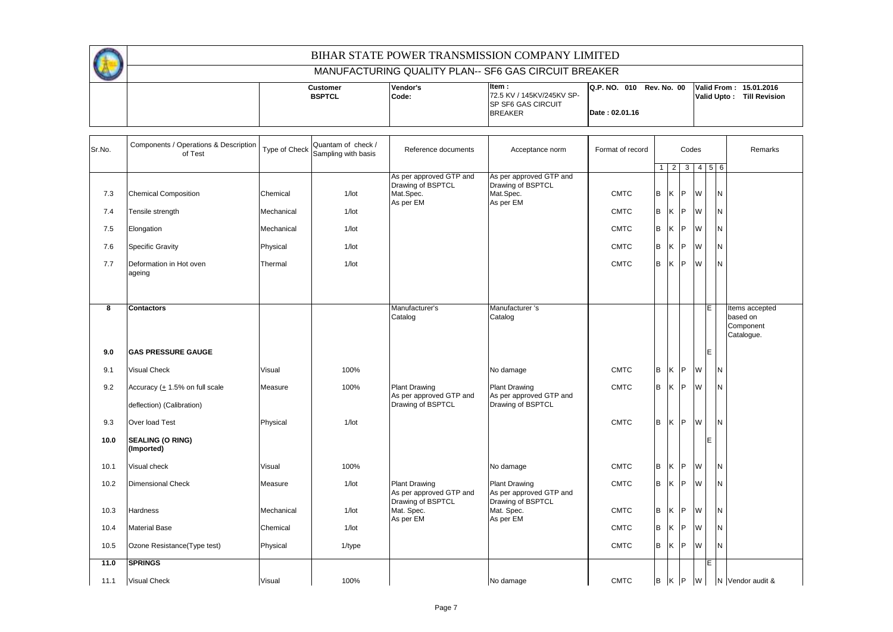| <b>BIHAR STATE POWER TRANSMISSION COMPANY LIMITED</b> |                                  |                   |                                                                                      |                                                                   |  |             |                      |  |  |  |  |  |  |
|-------------------------------------------------------|----------------------------------|-------------------|--------------------------------------------------------------------------------------|-------------------------------------------------------------------|--|-------------|----------------------|--|--|--|--|--|--|
| MANUFACTURING QUALITY PLAN-- SF6 GAS CIRCUIT BREAKER  |                                  |                   |                                                                                      |                                                                   |  |             |                      |  |  |  |  |  |  |
|                                                       | <b>Customer</b><br><b>BSPTCL</b> | Vendor's<br>Code: | litem :<br>72.5 KV / 145KV/245KV SP-<br><b>ISP SF6 GAS CIRCUIT</b><br><b>BREAKER</b> | Q.P. NO. 010 Rev. No. 00 Valid From: 15.01.2016<br>Date: 02.01.16 |  | Valid Upto: | <b>Till Revision</b> |  |  |  |  |  |  |

| Sr.No. | Components / Operations & Description<br>of Test | Type of Check | Quantam of check /<br>Sampling with basis | Reference documents                                                    | Acceptance norm                                                        | Format of record |                | Codes |           |                                 |   |          | Remarks                                               |
|--------|--------------------------------------------------|---------------|-------------------------------------------|------------------------------------------------------------------------|------------------------------------------------------------------------|------------------|----------------|-------|-----------|---------------------------------|---|----------|-------------------------------------------------------|
|        |                                                  |               |                                           |                                                                        |                                                                        |                  | 1 <sup>1</sup> |       |           | $2 \mid 3 \mid 4 \mid 5 \mid 6$ |   |          |                                                       |
| 7.3    | <b>Chemical Composition</b>                      | Chemical      | $1/$ lot                                  | As per approved GTP and<br>Drawing of BSPTCL<br>Mat.Spec.<br>As per EM | As per approved GTP and<br>Drawing of BSPTCL<br>Mat.Spec.<br>As per EM | <b>CMTC</b>      | B              | ΙK    | <b>IP</b> | W                               |   | N        |                                                       |
| 7.4    | Tensile strength                                 | Mechanical    | $1/$ lot                                  |                                                                        |                                                                        | <b>CMTC</b>      | B              | Κ     | IP.       | W                               |   | N        |                                                       |
| 7.5    | Elongation                                       | Mechanical    | $1/$ lot                                  |                                                                        |                                                                        | <b>CMTC</b>      | B              | K     | IP.       | W                               |   | N        |                                                       |
| 7.6    | <b>Specific Gravity</b>                          | Physical      | $1/$ lot                                  |                                                                        |                                                                        | <b>CMTC</b>      | B              | K     | IP.       | W                               |   | N        |                                                       |
| 7.7    | Deformation in Hot oven<br>ageing                | Thermal       | $1/$ lot                                  |                                                                        |                                                                        | <b>CMTC</b>      | B              | K     | IP.       | W                               |   | N        |                                                       |
| 8      | <b>Contactors</b>                                |               |                                           | Manufacturer's<br>Catalog                                              | Manufacturer 's<br>Catalog                                             |                  |                |       |           |                                 | E |          | Items accepted<br>based on<br>Component<br>Catalogue. |
| 9.0    | <b>GAS PRESSURE GAUGE</b>                        |               |                                           |                                                                        |                                                                        |                  |                |       |           |                                 | E |          |                                                       |
| 9.1    | Visual Check                                     | Visual        | 100%                                      |                                                                        | No damage                                                              | <b>CMTC</b>      | B              | K.    | IP.       | W                               |   | N        |                                                       |
| 9.2    | Accuracy (+ 1.5% on full scale                   | Measure       | 100%                                      | <b>Plant Drawing</b><br>As per approved GTP and                        | Plant Drawing<br>As per approved GTP and                               | <b>CMTC</b>      | B              | K     | P         | W                               |   | N.       |                                                       |
|        | deflection) (Calibration)                        |               |                                           | Drawing of BSPTCL                                                      | Drawing of BSPTCL                                                      |                  |                |       |           |                                 |   |          |                                                       |
| 9.3    | Over load Test                                   | Physical      | $1/$ lot                                  |                                                                        |                                                                        | <b>CMTC</b>      | B              | K     | IP.       | W                               |   | <b>N</b> |                                                       |
| 10.0   | <b>SEALING (O RING)</b><br>(Imported)            |               |                                           |                                                                        |                                                                        |                  |                |       |           |                                 | E |          |                                                       |
| 10.1   | Visual check                                     | Visual        | 100%                                      |                                                                        | No damage                                                              | <b>CMTC</b>      | B              | K.    | P         | W                               |   | N        |                                                       |
| 10.2   | <b>Dimensional Check</b>                         | Measure       | $1/$ lot                                  | <b>Plant Drawing</b><br>As per approved GTP and<br>Drawing of BSPTCL   | <b>Plant Drawing</b><br>As per approved GTP and<br>Drawing of BSPTCL   | <b>CMTC</b>      | B              | K     | IP.       | W                               |   | N        |                                                       |
| 10.3   | Hardness                                         | Mechanical    | $1/$ lot                                  | Mat. Spec.<br>As per EM                                                | Mat. Spec.<br>As per EM                                                | <b>CMTC</b>      | B              | K     | IP.       | W                               |   | N        |                                                       |
| 10.4   | <b>Material Base</b>                             | Chemical      | $1/$ lot                                  |                                                                        |                                                                        | <b>CMTC</b>      | B              | K     | IP.       | W                               |   | N        |                                                       |
| 10.5   | Ozone Resistance(Type test)                      | Physical      | $1$ /type                                 |                                                                        |                                                                        | <b>CMTC</b>      | B              | K     | IP.       | W                               |   | N        |                                                       |
| 11.0   | <b>SPRINGS</b>                                   |               |                                           |                                                                        |                                                                        |                  |                |       |           |                                 | E |          |                                                       |
| 11.1   | <b>Visual Check</b>                              | Visual        | 100%                                      |                                                                        | No damage                                                              | <b>CMTC</b>      |                | B K P |           | W                               |   |          | N Vendor audit &                                      |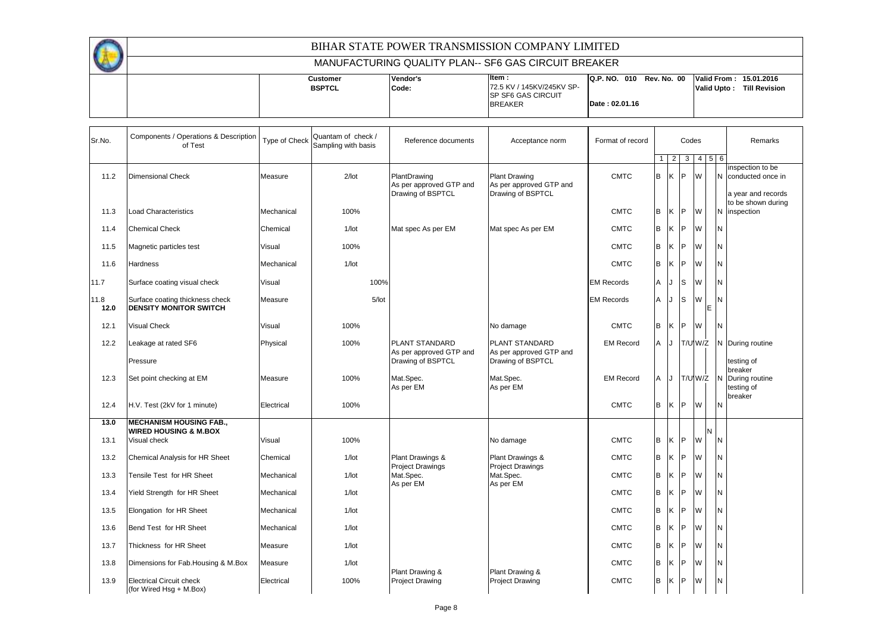|  | Customer      | <b>Vendor's</b> | ltem :                     |                | Q.P. NO. 010 Rev. No. 00 Valid From: 15.01.2016 |             |                      |
|--|---------------|-----------------|----------------------------|----------------|-------------------------------------------------|-------------|----------------------|
|  | <b>BSPTCL</b> | Code:           | 72.5 KV / 145KV/245KV SP-  |                |                                                 | Valid Upto: | <b>Till Revision</b> |
|  |               |                 | <b>ISP SF6 GAS CIRCUIT</b> |                |                                                 |             |                      |
|  |               |                 | <b>BREAKER</b>             | Date: 02.01.16 |                                                 |             |                      |
|  |               |                 |                            |                |                                                 |             |                      |

| Sr.No.       | Components / Operations & Description<br>of Test                   | Type of Check | Quantam of check /<br>Sampling with basis | Reference documents                                          | Acceptance norm                                                      | Format of record  |              | Codes          |                |         |                               |          | Remarks                                                       |
|--------------|--------------------------------------------------------------------|---------------|-------------------------------------------|--------------------------------------------------------------|----------------------------------------------------------------------|-------------------|--------------|----------------|----------------|---------|-------------------------------|----------|---------------------------------------------------------------|
|              |                                                                    |               |                                           |                                                              |                                                                      |                   | $\mathbf{1}$ | $\overline{2}$ | 3 <sup>1</sup> |         | $4 \overline{5} \overline{6}$ |          |                                                               |
| 11.2         | <b>Dimensional Check</b>                                           | Measure       | $2$ /lot                                  | PlantDrawing<br>As per approved GTP and<br>Drawing of BSPTCL | <b>Plant Drawing</b><br>As per approved GTP and<br>Drawing of BSPTCL | <b>CMTC</b>       | B            | ΙK.            | IP.            | W       |                               |          | inspection to be<br>N conducted once in<br>a year and records |
| 11.3         | Load Characteristics                                               | Mechanical    | 100%                                      |                                                              |                                                                      | <b>CMTC</b>       | B            | K              | IP.            | W       |                               |          | to be shown during<br>N inspection                            |
| 11.4         | <b>Chemical Check</b>                                              | Chemical      | $1/$ lot                                  | Mat spec As per EM                                           | Mat spec As per EM                                                   | <b>CMTC</b>       | B            | K              | <b>IP</b>      | W       |                               | N        |                                                               |
| 11.5         | Magnetic particles test                                            | Visual        | 100%                                      |                                                              |                                                                      | <b>CMTC</b>       | B            | K              | IP             | W       |                               | N        |                                                               |
| 11.6         | Hardness                                                           | Mechanical    | $1/$ lot                                  |                                                              |                                                                      | <b>CMTC</b>       | B            | K              | IP.            | W       |                               | N        |                                                               |
| 11.7         | Surface coating visual check                                       | Visual        | 100%                                      |                                                              |                                                                      | <b>EM Records</b> | Α            |                | S              | W       |                               | N        |                                                               |
| 11.8<br>12.0 | Surface coating thickness check<br><b>DENSITY MONITOR SWITCH</b>   | Measure       | $5/$ lot                                  |                                                              |                                                                      | <b>EM Records</b> | Α            | J              | ls             | W       | E                             | N        |                                                               |
| 12.1         | Visual Check                                                       | Visual        | 100%                                      |                                                              | No damage                                                            | <b>CMTC</b>       | B            | Κ              | IP.            | W       |                               | <b>N</b> |                                                               |
| 12.2         | Leakage at rated SF6                                               | Physical      | 100%                                      | PLANT STANDARD<br>As per approved GTP and                    | PLANT STANDARD<br>As per approved GTP and                            | <b>EM Record</b>  | Α            | IJ             |                | T/U'W/Z |                               |          | N During routine                                              |
|              | Pressure                                                           |               |                                           | Drawing of BSPTCL                                            | Drawing of BSPTCL                                                    |                   |              |                |                |         |                               |          | testing of<br>breaker                                         |
| 12.3         | Set point checking at EM                                           | Measure       | 100%                                      | Mat.Spec.<br>As per EM                                       | Mat.Spec.<br>As per EM                                               | <b>EM Record</b>  | A            | J              |                |         |                               |          | T/U W/Z N During routine<br>testing of                        |
| 12.4         | H.V. Test (2kV for 1 minute)                                       | Electrical    | 100%                                      |                                                              |                                                                      | <b>CMTC</b>       | B            | K              | IP.            | W       |                               | IN.      | breaker                                                       |
| 13.0         | <b>MECHANISM HOUSING FAB.,</b><br><b>WIRED HOUSING &amp; M.BOX</b> |               |                                           |                                                              |                                                                      |                   |              |                |                |         |                               |          |                                                               |
| 13.1         | Visual check                                                       | Visual        | 100%                                      |                                                              | No damage                                                            | <b>CMTC</b>       | B            | K              | IP.            | W       |                               | N        |                                                               |
| 13.2         | Chemical Analysis for HR Sheet                                     | Chemical      | $1/$ lot                                  | Plant Drawings &<br><b>Project Drawings</b>                  | Plant Drawings &<br><b>Project Drawings</b>                          | <b>CMTC</b>       | B            | K              | <b>IP</b>      | W       |                               | N        |                                                               |
| 13.3         | Tensile Test for HR Sheet                                          | Mechanical    | $1/$ lot                                  | Mat.Spec.<br>As per EM                                       | Mat.Spec.<br>As per EM                                               | <b>CMTC</b>       | B            | Κ              | IP.            | W       |                               | N        |                                                               |
| 13.4         | Yield Strength for HR Sheet                                        | Mechanical    | $1/$ lot                                  |                                                              |                                                                      | <b>CMTC</b>       | B            | K              | IP.            | W       |                               | N        |                                                               |
| 13.5         | Elongation for HR Sheet                                            | Mechanical    | $1/$ lot                                  |                                                              |                                                                      | <b>CMTC</b>       | B            | Κ              | IP             | W       |                               | N        |                                                               |
| 13.6         | Bend Test for HR Sheet                                             | Mechanical    | $1/$ lot                                  |                                                              |                                                                      | <b>CMTC</b>       | B            | K              | P              | W       |                               | N        |                                                               |
| 13.7         | Thickness for HR Sheet                                             | Measure       | $1/$ lot                                  |                                                              |                                                                      | <b>CMTC</b>       | B            | Κ              | IP.            | W       |                               | N        |                                                               |
| 13.8         | Dimensions for Fab. Housing & M. Box                               | Measure       | $1/$ lot                                  | Plant Drawing &                                              | Plant Drawing &                                                      | <b>CMTC</b>       | B            | K              | IP.            | W       |                               | N        |                                                               |
| 13.9         | <b>Electrical Circuit check</b><br>(for Wired Hsg + M.Box)         | Electrical    | 100%                                      | <b>Project Drawing</b>                                       | <b>Project Drawing</b>                                               | <b>CMTC</b>       | B            | K              | IP.            | W       |                               | N        |                                                               |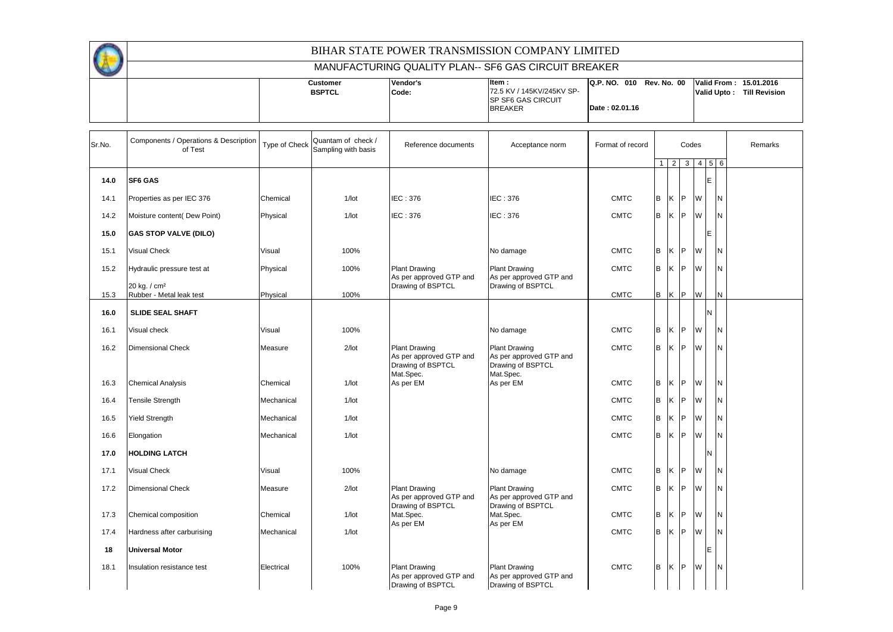|        |                                                      |               |                                           |                                                                      | BIHAR STATE POWER TRANSMISSION COMPANY LIMITED<br>MANUFACTURING QUALITY PLAN-- SF6 GAS CIRCUIT BREAKER |                                            |                |                |    |                             |   |                                                     |  |
|--------|------------------------------------------------------|---------------|-------------------------------------------|----------------------------------------------------------------------|--------------------------------------------------------------------------------------------------------|--------------------------------------------|----------------|----------------|----|-----------------------------|---|-----------------------------------------------------|--|
|        |                                                      |               | <b>Customer</b><br><b>BSPTCL</b>          | Vendor's<br>Code:                                                    | Item:<br>72.5 KV / 145KV/245KV SP-<br>SP SF6 GAS CIRCUIT<br><b>BREAKER</b>                             | Q.P. NO. 010 Rev. No. 00<br>Date: 02.01.16 |                |                |    |                             |   | Valid From: 15.01.2016<br>Valid Upto: Till Revision |  |
| Sr.No. | Components / Operations & Description<br>of Test     | Type of Check | Quantam of check /<br>Sampling with basis | Reference documents                                                  | Acceptance norm                                                                                        | Format of record                           |                |                |    | Codes                       |   | Remarks                                             |  |
|        |                                                      |               |                                           |                                                                      |                                                                                                        |                                            | $\overline{1}$ | $\overline{2}$ |    | $3 \quad 4 \quad 5 \quad 6$ |   |                                                     |  |
| 14.0   | <b>SF6 GAS</b>                                       |               |                                           |                                                                      |                                                                                                        |                                            |                |                |    |                             | F |                                                     |  |
| 14.1   | Properties as per IEC 376                            | Chemical      | $1/$ lot                                  | IEC: 376                                                             | IEC: 376                                                                                               | <b>CMTC</b>                                | B              | <b>IK</b>      | P. | W                           |   | IN.                                                 |  |
| 14.2   | Moisture content( Dew Point)                         | Physical      | $1/$ lot                                  | IEC: 376                                                             | <b>IEC: 376</b>                                                                                        | <b>CMTC</b>                                | B              | lK .           | P  | <b>W</b>                    |   | N                                                   |  |
| 15.0   | <b>GAS STOP VALVE (DILO)</b>                         |               |                                           |                                                                      |                                                                                                        |                                            |                |                |    |                             | Е |                                                     |  |
| 15.1   | <b>Visual Check</b>                                  | Visual        | 100%                                      |                                                                      | No damage                                                                                              | <b>CMTC</b>                                | B              | Κ              | P  | W                           |   | N                                                   |  |
| 15.2   | Hydraulic pressure test at                           | Physical      | 100%                                      | <b>Plant Drawing</b><br>As per approved GTP and                      | <b>Plant Drawing</b><br>As per approved GTP and                                                        | <b>CMTC</b>                                | B              | K              |    | P W                         |   | N                                                   |  |
| 15.3   | 20 kg. / cm <sup>2</sup><br>Rubber - Metal leak test | Physical      | 100%                                      | Drawing of BSPTCL                                                    | Drawing of BSPTCL                                                                                      | <b>CMTC</b>                                | B              | K P            |    | W                           |   | N                                                   |  |
|        | <b>SLIDE SEAL SHAFT</b>                              |               |                                           |                                                                      |                                                                                                        |                                            |                |                |    |                             |   |                                                     |  |
| 16.0   |                                                      |               |                                           |                                                                      |                                                                                                        |                                            |                |                |    |                             |   |                                                     |  |
| 16.1   | Visual check                                         | Visual        | 100%                                      |                                                                      | No damage                                                                                              | <b>CMTC</b>                                | B              | K              | P  | W                           |   | N                                                   |  |
| 16.2   | <b>Dimensional Check</b>                             | Measure       | $2$ /lot                                  | <b>Plant Drawing</b><br>As per approved GTP and<br>Drawing of BSPTCL | <b>Plant Drawing</b><br>As per approved GTP and<br>Drawing of BSPTCL                                   | <b>CMTC</b>                                | B              | K              | P  | W                           |   | N                                                   |  |
| 16.3   | <b>Chemical Analysis</b>                             | Chemical      | $1/$ lot                                  | Mat.Spec.<br>As per EM                                               | Mat.Spec.<br>As per EM                                                                                 | <b>CMTC</b>                                | B              | K              | P  | W                           |   | N                                                   |  |
| 16.4   | Tensile Strength                                     | Mechanical    | $1/$ lot                                  |                                                                      |                                                                                                        | <b>CMTC</b>                                | B              | K              | P  | W                           |   | N                                                   |  |
| 16.5   | Yield Strength                                       | Mechanical    | $1/$ lot                                  |                                                                      |                                                                                                        | <b>CMTC</b>                                | B              | Κ              | P  | W                           |   | N                                                   |  |
| 16.6   | Elongation                                           | Mechanical    | $1/$ lot                                  |                                                                      |                                                                                                        | <b>CMTC</b>                                | B              | K              | P  | W                           |   | N                                                   |  |
| 17.0   | <b>HOLDING LATCH</b>                                 |               |                                           |                                                                      |                                                                                                        |                                            |                |                |    |                             |   |                                                     |  |
| 17.1   | <b>Visual Check</b>                                  | Visual        | 100%                                      |                                                                      | No damage                                                                                              | <b>CMTC</b>                                | B              | Κ              | P  | W                           |   | N                                                   |  |
| 17.2   | <b>Dimensional Check</b>                             | Measure       | $2$ /lot                                  | <b>Plant Drawing</b><br>As per approved GTP and                      | <b>Plant Drawing</b><br>As per approved GTP and                                                        | <b>CMTC</b>                                | B              | K              |    | P W                         |   | N                                                   |  |
| 17.3   | Chemical composition                                 | Chemical      | $1/$ lot                                  | Drawing of BSPTCL<br>Mat.Spec.<br>As per EM                          | Drawing of BSPTCL<br>Mat.Spec.<br>As per EM                                                            | <b>CMTC</b>                                | B              | K P            |    | W                           |   | N                                                   |  |
| 17.4   | Hardness after carburising                           | Mechanical    | $1/$ lot                                  |                                                                      |                                                                                                        | <b>CMTC</b>                                | B              | K              | P. | W.                          |   | IN.                                                 |  |
| 18     | <b>Universal Motor</b>                               |               |                                           |                                                                      |                                                                                                        |                                            |                |                |    |                             | E |                                                     |  |
| 18.1   | Insulation resistance test                           | Electrical    | 100%                                      | <b>Plant Drawing</b><br>As per approved GTP and<br>Drawing of BSPTCL | <b>Plant Drawing</b><br>As per approved GTP and<br>Drawing of BSPTCL                                   | <b>CMTC</b>                                | B              | <b>IK</b>      | P. | W                           |   | IN.                                                 |  |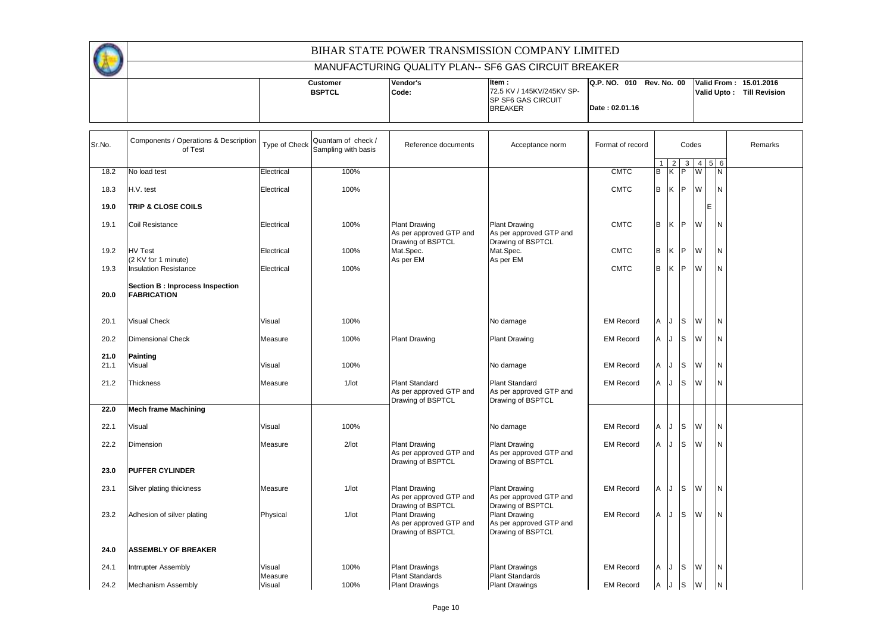|  |                           |                   | BIHAR STATE POWER TRANSMISSION COMPANY LIMITED                                       |                                            |                                       |                      |
|--|---------------------------|-------------------|--------------------------------------------------------------------------------------|--------------------------------------------|---------------------------------------|----------------------|
|  |                           |                   | MANUFACTURING QUALITY PLAN-- SF6 GAS CIRCUIT BREAKER                                 |                                            |                                       |                      |
|  | Customer<br><b>BSPTCL</b> | Vendor's<br>Code: | litem :<br>72.5 KV / 145KV/245KV SP-<br><b>ISP SF6 GAS CIRCUIT</b><br><b>BREAKER</b> | Q.P. NO. 010 Rev. No. 00<br>Date: 02.01.16 | Valid From: 15.01.2016<br>Valid Upto: | <b>Till Revision</b> |

 $\mathbf{r}$ 

| Sr.No. | Components / Operations & Description<br>of Test      | Type of Check     | Quantam of check /<br>Sampling with basis | Reference documents                                                   | Acceptance norm                                                       | Format of record | Codes |     |          |                             |   |   | Remarks |
|--------|-------------------------------------------------------|-------------------|-------------------------------------------|-----------------------------------------------------------------------|-----------------------------------------------------------------------|------------------|-------|-----|----------|-----------------------------|---|---|---------|
|        |                                                       |                   |                                           |                                                                       |                                                                       |                  |       | 2   |          | $3 \quad 4 \quad 5 \quad 6$ |   |   |         |
| 18.2   | No load test                                          | Electrical        | 100%                                      |                                                                       |                                                                       | <b>CMTC</b>      | B     | Κ   | P        | W                           |   | N |         |
|        |                                                       |                   |                                           |                                                                       |                                                                       |                  |       |     |          |                             |   |   |         |
| 18.3   | H.V. test                                             | Electrical        | 100%                                      |                                                                       |                                                                       | <b>CMTC</b>      | B     | Ιĸ  | <b>P</b> | W                           |   | N |         |
| 19.0   | <b>TRIP &amp; CLOSE COILS</b>                         |                   |                                           |                                                                       |                                                                       |                  |       |     |          |                             | E |   |         |
| 19.1   | <b>Coil Resistance</b>                                | Electrical        | 100%                                      | <b>Plant Drawing</b><br>As per approved GTP and<br>Drawing of BSPTCL  | <b>Plant Drawing</b><br>As per approved GTP and<br>Drawing of BSPTCL  | <b>CMTC</b>      | B     | K   | IP.      | W                           |   | N |         |
| 19.2   | <b>HV Test</b>                                        | Electrical        | 100%                                      | Mat.Spec.                                                             | Mat.Spec.                                                             | <b>CMTC</b>      | B     | ΙK  | P        | W                           |   | N |         |
|        | (2 KV for 1 minute)                                   |                   |                                           | As per EM                                                             | As per EM                                                             |                  |       |     |          |                             |   |   |         |
| 19.3   | <b>Insulation Resistance</b>                          | Electrical        | 100%                                      |                                                                       |                                                                       | <b>CMTC</b>      | B     | lK. | P        | W                           |   | N |         |
| 20.0   | Section B: Inprocess Inspection<br><b>FABRICATION</b> |                   |                                           |                                                                       |                                                                       |                  |       |     |          |                             |   |   |         |
| 20.1   | <b>Visual Check</b>                                   | Visual            | 100%                                      |                                                                       | No damage                                                             | <b>EM Record</b> | Α     |     | S        | W                           |   | N |         |
| 20.2   | <b>Dimensional Check</b>                              | Measure           | 100%                                      | <b>Plant Drawing</b>                                                  | <b>Plant Drawing</b>                                                  | <b>EM Record</b> | A     | IJ  | S        | W                           |   | N |         |
| 21.0   | Painting                                              |                   |                                           |                                                                       |                                                                       |                  |       |     |          |                             |   |   |         |
| 21.1   | Visual                                                | Visual            | 100%                                      |                                                                       | No damage                                                             | <b>EM Record</b> | A     |     | S        | W                           |   | N |         |
| 21.2   | Thickness                                             | Measure           | $1/$ lot                                  | <b>Plant Standard</b><br>As per approved GTP and<br>Drawing of BSPTCL | <b>Plant Standard</b><br>As per approved GTP and<br>Drawing of BSPTCL | <b>EM Record</b> | A     | IJ  | S        | W                           |   | N |         |
| 22.0   | <b>Mech frame Machining</b>                           |                   |                                           |                                                                       |                                                                       |                  |       |     |          |                             |   |   |         |
| 22.1   | Visual                                                | Visual            | 100%                                      |                                                                       | No damage                                                             | <b>EM Record</b> | A     | Л.  | S        | W                           |   | N |         |
| 22.2   | Dimension                                             | Measure           | $2$ /lot                                  | <b>Plant Drawing</b><br>As per approved GTP and<br>Drawing of BSPTCL  | <b>Plant Drawing</b><br>As per approved GTP and<br>Drawing of BSPTCL  | <b>EM Record</b> | A     | IJ  | lS.      | W                           |   | N |         |
| 23.0   | <b>PUFFER CYLINDER</b>                                |                   |                                           |                                                                       |                                                                       |                  |       |     |          |                             |   |   |         |
| 23.1   | Silver plating thickness                              | Measure           | $1/$ lot                                  | <b>Plant Drawing</b><br>As per approved GTP and<br>Drawing of BSPTCL  | <b>Plant Drawing</b><br>As per approved GTP and<br>Drawing of BSPTCL  | <b>EM Record</b> | A     |     | S        | W                           |   | N |         |
| 23.2   | Adhesion of silver plating                            | Physical          | $1/$ lot                                  | <b>Plant Drawing</b><br>As per approved GTP and<br>Drawing of BSPTCL  | <b>Plant Drawing</b><br>As per approved GTP and<br>Drawing of BSPTCL  | <b>EM Record</b> | A     |     | S        | W                           |   | N |         |
| 24.0   | <b>ASSEMBLY OF BREAKER</b>                            |                   |                                           |                                                                       |                                                                       |                  |       |     |          |                             |   |   |         |
| 24.1   | Intrrupter Assembly                                   | Visual<br>Measure | 100%                                      | <b>Plant Drawings</b><br><b>Plant Standards</b>                       | <b>Plant Drawings</b><br><b>Plant Standards</b>                       | <b>EM Record</b> | Α     |     | S        | W                           |   | N |         |
| 24.2   | <b>Mechanism Assembly</b>                             | Visual            | 100%                                      | <b>Plant Drawings</b>                                                 | <b>Plant Drawings</b>                                                 | <b>EM Record</b> | A     | IJ  | S        | W                           |   | N |         |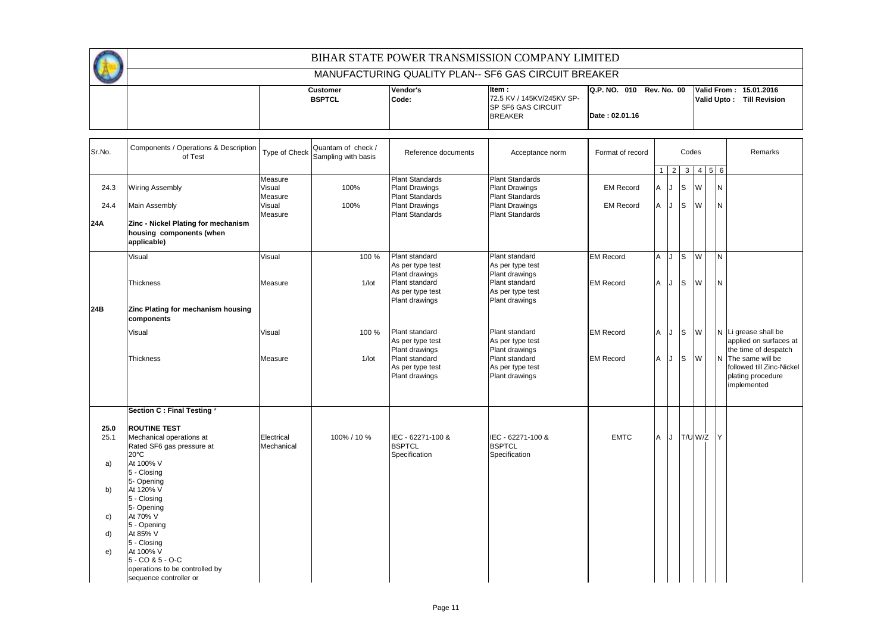|  |               |          | BIHAR STATE POWER TRANSMISSION COMPANY LIMITED       |                                                 |             |                      |
|--|---------------|----------|------------------------------------------------------|-------------------------------------------------|-------------|----------------------|
|  |               |          | MANUFACTURING QUALITY PLAN-- SF6 GAS CIRCUIT BREAKER |                                                 |             |                      |
|  | Customer      | Vendor's | Item:                                                | Q.P. NO. 010 Rev. No. 00 Valid From: 15.01.2016 |             |                      |
|  | <b>BSPTCL</b> | Code:    | 72.5 KV / 145KV/245KV SP-                            |                                                 | Valid Upto: | <b>Till Revision</b> |
|  |               |          | <b>ISP SF6 GAS CIRCUIT</b>                           |                                                 |             |                      |
|  |               |          | <b>BREAKER</b>                                       | Date: 02.01.16                                  |             |                      |
|  |               |          |                                                      |                                                 |             |                      |

| Sr.No.       | Components / Operations & Description<br>of Test                                               | Type of Check                | Quantam of check /<br>Sampling with basis | Reference documents                                                       | Acceptance norm                                                    | Format of record |                | Codes          |                |               |  |          |                                                                                     |  |  |  |  |  |  |  | Remarks |
|--------------|------------------------------------------------------------------------------------------------|------------------------------|-------------------------------------------|---------------------------------------------------------------------------|--------------------------------------------------------------------|------------------|----------------|----------------|----------------|---------------|--|----------|-------------------------------------------------------------------------------------|--|--|--|--|--|--|--|---------|
|              |                                                                                                |                              |                                           |                                                                           |                                                                    |                  | $\mathbf{1}$   | $\overline{2}$ |                | 3   4   5   6 |  |          |                                                                                     |  |  |  |  |  |  |  |         |
| 24.3         | <b>Wiring Assembly</b>                                                                         | Measure<br>Visual<br>Measure | 100%                                      | <b>Plant Standards</b><br><b>Plant Drawings</b><br><b>Plant Standards</b> | <b>Plant Standards</b><br><b>Plant Drawings</b><br>Plant Standards | <b>EM Record</b> | A              |                | Is             | W             |  | <b>N</b> |                                                                                     |  |  |  |  |  |  |  |         |
| 24.4         | <b>Main Assembly</b>                                                                           | Visual<br>Measure            | 100%                                      | <b>Plant Drawings</b><br><b>Plant Standards</b>                           | <b>Plant Drawings</b><br><b>Plant Standards</b>                    | <b>EM Record</b> | $\overline{A}$ |                | <b>S</b>       | W             |  | N        |                                                                                     |  |  |  |  |  |  |  |         |
| 24A          | Zinc - Nickel Plating for mechanism<br>housing components (when<br>applicable)                 |                              |                                           |                                                                           |                                                                    |                  |                |                |                |               |  |          |                                                                                     |  |  |  |  |  |  |  |         |
|              | Visual                                                                                         | Visual                       | 100 %                                     | Plant standard<br>As per type test<br>Plant drawings                      | Plant standard<br>As per type test<br>Plant drawings               | <b>EM Record</b> | A              | J              | $\overline{s}$ | W             |  | İΝ.      |                                                                                     |  |  |  |  |  |  |  |         |
|              | <b>Thickness</b>                                                                               | Measure                      | $1/$ lot                                  | Plant standard<br>As per type test<br>Plant drawings                      | Plant standard<br>As per type test<br>Plant drawings               | <b>EM Record</b> | $\mathsf{A}$   |                | <b>S</b>       | W             |  | ΙN       |                                                                                     |  |  |  |  |  |  |  |         |
| 24B          | Zinc Plating for mechanism housing<br>components                                               |                              |                                           |                                                                           |                                                                    |                  |                |                |                |               |  |          |                                                                                     |  |  |  |  |  |  |  |         |
|              | Visual                                                                                         | Visual                       | 100 %                                     | Plant standard<br>As per type test<br>Plant drawings                      | Plant standard<br>As per type test<br>Plant drawings               | <b>EM Record</b> | A              |                | ls             | W             |  |          | N Li grease shall be<br>applied on surfaces at<br>the time of despatch              |  |  |  |  |  |  |  |         |
|              | Thickness                                                                                      | Measure                      | $1/$ lot                                  | Plant standard<br>As per type test<br>Plant drawings                      | Plant standard<br>As per type test<br>Plant drawings               | <b>EM Record</b> | A              |                | Is             | W             |  |          | N The same will be<br>followed till Zinc-Nickel<br>plating procedure<br>implemented |  |  |  |  |  |  |  |         |
|              | Section C : Final Testing                                                                      |                              |                                           |                                                                           |                                                                    |                  |                |                |                |               |  |          |                                                                                     |  |  |  |  |  |  |  |         |
| 25.0<br>25.1 | <b>ROUTINE TEST</b><br>Mechanical operations at<br>Rated SF6 gas pressure at<br>$20^{\circ}$ C | Electrical<br>Mechanical     | 100% / 10 %                               | IEC - 62271-100 &<br><b>BSPTCL</b><br>Specification                       | IEC - 62271-100 &<br><b>BSPTCL</b><br>Specification                | <b>EMTC</b>      | A              |                |                | J T/U W/Z     |  | IY       |                                                                                     |  |  |  |  |  |  |  |         |
| a)           | At 100% V<br>5 - Closing<br>5- Opening                                                         |                              |                                           |                                                                           |                                                                    |                  |                |                |                |               |  |          |                                                                                     |  |  |  |  |  |  |  |         |
| b)           | At 120% V<br>5 - Closing<br>5- Opening                                                         |                              |                                           |                                                                           |                                                                    |                  |                |                |                |               |  |          |                                                                                     |  |  |  |  |  |  |  |         |
| c)           | At 70% V<br>5 - Opening                                                                        |                              |                                           |                                                                           |                                                                    |                  |                |                |                |               |  |          |                                                                                     |  |  |  |  |  |  |  |         |
| d)           | At 85% V<br>5 - Closing                                                                        |                              |                                           |                                                                           |                                                                    |                  |                |                |                |               |  |          |                                                                                     |  |  |  |  |  |  |  |         |
| e)           | At 100% V<br>$5 - CO & 5 - O-C$<br>operations to be controlled by                              |                              |                                           |                                                                           |                                                                    |                  |                |                |                |               |  |          |                                                                                     |  |  |  |  |  |  |  |         |
|              | sequence controller or                                                                         |                              |                                           |                                                                           |                                                                    |                  |                |                |                |               |  |          |                                                                                     |  |  |  |  |  |  |  |         |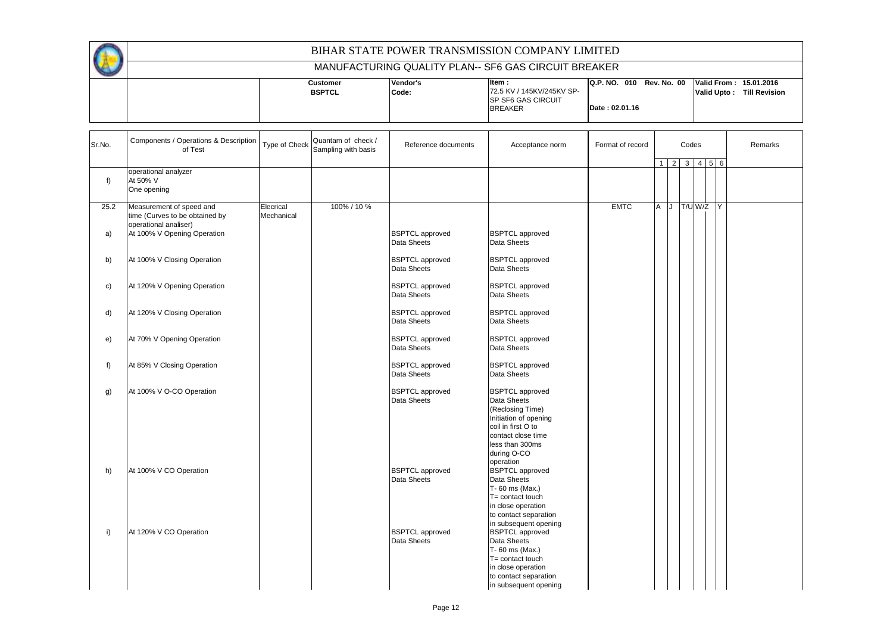|            | BIHAR STATE POWER TRANSMISSION COMPANY LIMITED                                                                     |                                                                                                                                     |                                           |                                       |                                                      |                  |     |  |       |                                        |                                                |         |  |
|------------|--------------------------------------------------------------------------------------------------------------------|-------------------------------------------------------------------------------------------------------------------------------------|-------------------------------------------|---------------------------------------|------------------------------------------------------|------------------|-----|--|-------|----------------------------------------|------------------------------------------------|---------|--|
|            |                                                                                                                    |                                                                                                                                     |                                           |                                       | MANUFACTURING QUALITY PLAN-- SF6 GAS CIRCUIT BREAKER |                  |     |  |       |                                        |                                                |         |  |
|            |                                                                                                                    | Item:<br>Vendor's<br><b>Customer</b><br>72.5 KV / 145KV/245KV SP-<br><b>BSPTCL</b><br>Code:<br>SP SF6 GAS CIRCUIT<br><b>BREAKER</b> |                                           |                                       | Q.P. NO. 010 Rev. No. 00<br>Date: 02.01.16           |                  |     |  |       | <b>Valid Upto:</b>                     | Valid From: 15.01.2016<br><b>Till Revision</b> |         |  |
| Sr.No.     | Components / Operations & Description<br>of Test                                                                   | Type of Check                                                                                                                       | Quantam of check /<br>Sampling with basis | Reference documents                   | Acceptance norm                                      | Format of record |     |  | Codes |                                        |                                                | Remarks |  |
| f)         | operational analyzer<br>At 50% V<br>One opening                                                                    |                                                                                                                                     |                                           |                                       |                                                      |                  |     |  |       | $1 \mid 2 \mid 3 \mid 4 \mid 5 \mid 6$ |                                                |         |  |
| 25.2<br>a) | Measurement of speed and<br>time (Curves to be obtained by<br>operational analiser)<br>At 100% V Opening Operation | Elecrical<br>Mechanical                                                                                                             | 100% / 10 %                               | <b>BSPTCL</b> approved<br>Data Sheets | <b>BSPTCL</b> approved<br>Data Sheets                | <b>EMTC</b>      | A J |  |       | T/U W/Z                                |                                                |         |  |
| b)         | At 100% V Closing Operation                                                                                        |                                                                                                                                     |                                           | <b>BSPTCL</b> approved<br>Data Sheets | <b>BSPTCL</b> approved<br>Data Sheets                |                  |     |  |       |                                        |                                                |         |  |
| c)         | At 120% V Opening Operation                                                                                        |                                                                                                                                     |                                           | <b>BSPTCL approved</b><br>Data Sheets | <b>BSPTCL</b> approved<br><b>Data Sheets</b>         |                  |     |  |       |                                        |                                                |         |  |

Data Sheets

Data Sheets

Data Sheets

Data Sheets (Reclosing Time) Initiation of opening coil in first O to contact close time less than 300ms during O-CO operation<br>BSPTCL approved

Data Sheets T- 60 ms (Max.) T= contact touch in close operation to contact separation in subsequent opening<br>BSPTCL approved

Data Sheets T- 60 ms (Max.)  $T = \text{contact}$  touch in close operation to contact separation in subsequent opening

d) At 120% V Closing Operation **BSPTCL approved** BSPTCL approved BSPTCL approved BSPTCL approved BSPTCL approved

e) At 70% V Opening Operation **BSPTCL approved** BSPTCL approved BSPTCL approved BSPTCL approved BSPTCL approved

f) At 85% V Closing Operation **BSPTCL approved** BSPTCL approved BSPTCL approved BSPTCL approved BSPTCL approved

g)  $\begin{array}{|c|c|c|c|}\n\hline\n\text{At 100% V O-CO Operation} & & & \text{BSPTCL approved} & & \text{BSPTCL approved} \\
\hline\n\end{array}$ 

h) At 100% V CO Operation and BSPTCL approved BSPTCL approved pata Sheets

i) At 120% V CO Operation and BSPTCL approved BSPTCL approved BSPTCL approved BSPTCL approved BSPTCL approved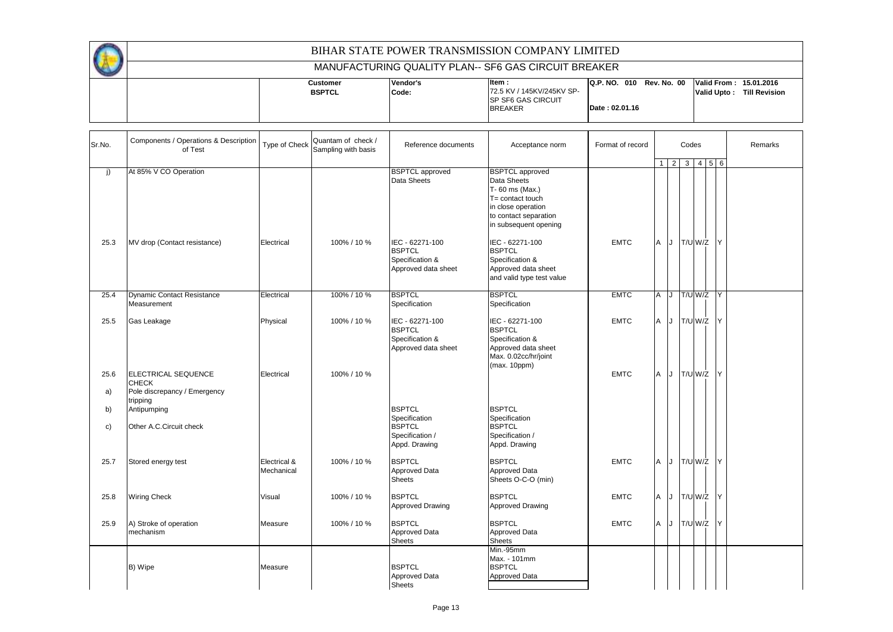|  |                 |          | BIHAR STATE POWER TRANSMISSION COMPANY LIMITED           |                                                  |  |             |               |
|--|-----------------|----------|----------------------------------------------------------|--------------------------------------------------|--|-------------|---------------|
|  |                 |          | MANUFACTURING QUALITY PLAN-- SF6 GAS CIRCUIT BREAKER     |                                                  |  |             |               |
|  | <b>Customer</b> | Vendor's | Item:                                                    | IQ.P. NO. 010 Rev. No. 00 Valid From: 15.01.2016 |  |             |               |
|  | <b>BSPTCL</b>   | Code:    | 172.5 KV / 145KV/245KV SP-<br><b>ISP SF6 GAS CIRCUIT</b> |                                                  |  | Valid Upto: | Till Revision |
|  |                 |          | <b>BREAKER</b>                                           | Date: 02.01.16                                   |  |             |               |
|  |                 |          |                                                          |                                                  |  |             |               |

| Sr.No.     | Components / Operations & Description<br>of Test                           | Type of Check              | Quantam of check /<br>Sampling with basis | Reference documents                                                                 | Acceptance norm                                                                                                                                     | Format of record | Codes<br>$1 \ 2 \ 3 \ 4 \ 5 \ 6$ |           |  |  |             |     |  | Remarks |
|------------|----------------------------------------------------------------------------|----------------------------|-------------------------------------------|-------------------------------------------------------------------------------------|-----------------------------------------------------------------------------------------------------------------------------------------------------|------------------|----------------------------------|-----------|--|--|-------------|-----|--|---------|
|            |                                                                            |                            |                                           |                                                                                     |                                                                                                                                                     |                  |                                  |           |  |  |             |     |  |         |
| j)         | At 85% V CO Operation                                                      |                            |                                           | <b>BSPTCL</b> approved<br>Data Sheets                                               | <b>BSPTCL</b> approved<br>Data Sheets<br>T-60 ms (Max.)<br>T= contact touch<br>in close operation<br>to contact separation<br>in subsequent opening |                  |                                  |           |  |  |             |     |  |         |
| 25.3       | MV drop (Contact resistance)                                               | Electrical                 | 100% / 10 %                               | IEC - 62271-100<br><b>BSPTCL</b><br>Specification &<br>Approved data sheet          | IEC - 62271-100<br><b>BSPTCL</b><br>Specification &<br>Approved data sheet<br>and valid type test value                                             | <b>EMTC</b>      | A                                | J T/U W/Z |  |  |             | Y   |  |         |
| 25.4       | <b>Dynamic Contact Resistance</b><br>Measurement                           | Electrical                 | 100% / 10 %                               | <b>BSPTCL</b><br>Specification                                                      | <b>BSPTCL</b><br>Specification                                                                                                                      | <b>EMTC</b>      | A                                | IJ        |  |  | T/U W/Z Y   |     |  |         |
| 25.5       | Gas Leakage                                                                | Physical                   | 100% / 10 %                               | IEC - 62271-100<br><b>BSPTCL</b><br>Specification &<br>Approved data sheet          | IEC - 62271-100<br><b>BSPTCL</b><br>Specification &<br>Approved data sheet<br>Max. 0.02cc/hr/joint<br>(max. 10ppm)                                  | <b>EMTC</b>      | A                                | J T/U W/Z |  |  |             | Y   |  |         |
| 25.6<br>a) | <b>ELECTRICAL SEQUENCE</b><br><b>CHECK</b><br>Pole discrepancy / Emergency | Electrical                 | 100% / 10 %                               |                                                                                     |                                                                                                                                                     | <b>EMTC</b>      | A                                |           |  |  | J T/U W/Z Y |     |  |         |
| b)<br>c)   | tripping<br>Antipumping<br>Other A.C.Circuit check                         |                            |                                           | <b>BSPTCL</b><br>Specification<br><b>BSPTCL</b><br>Specification /<br>Appd. Drawing | <b>BSPTCL</b><br>Specification<br><b>BSPTCL</b><br>Specification /<br>Appd. Drawing                                                                 |                  |                                  |           |  |  |             |     |  |         |
| 25.7       | Stored energy test                                                         | Electrical &<br>Mechanical | 100% / 10 %                               | <b>BSPTCL</b><br>Approved Data<br><b>Sheets</b>                                     | <b>BSPTCL</b><br><b>Approved Data</b><br>Sheets O-C-O (min)                                                                                         | <b>EMTC</b>      | A                                | J T/U W/Z |  |  |             | Y   |  |         |
| 25.8       | <b>Wiring Check</b>                                                        | Visual                     | 100% / 10 %                               | <b>BSPTCL</b><br>Approved Drawing                                                   | <b>BSPTCL</b><br>Approved Drawing                                                                                                                   | <b>EMTC</b>      | A                                |           |  |  | J T/U W/Z Y |     |  |         |
| 25.9       | A) Stroke of operation<br>mechanism                                        | Measure                    | 100% / 10 %                               | <b>BSPTCL</b><br>Approved Data<br><b>Sheets</b>                                     | <b>BSPTCL</b><br>Approved Data<br><b>Sheets</b>                                                                                                     | <b>EMTC</b>      | A                                | J T/U W/Z |  |  |             | IY. |  |         |
|            | B) Wipe                                                                    | Measure                    |                                           | <b>BSPTCL</b><br>Approved Data<br><b>Sheets</b>                                     | Min.-95mm<br>Max. - 101mm<br><b>BSPTCL</b><br>Approved Data                                                                                         |                  |                                  |           |  |  |             |     |  |         |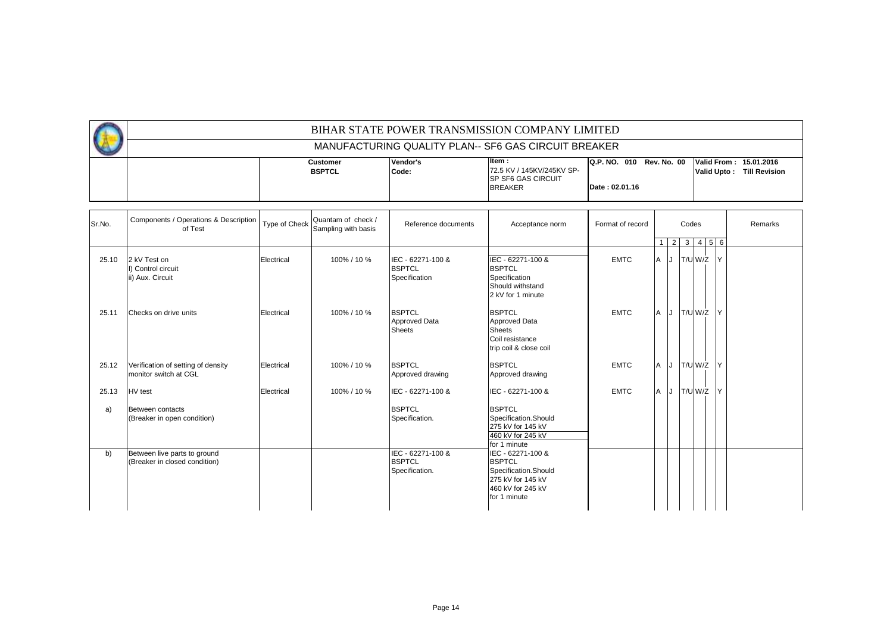|                                                      |                                  |                   | BIHAR STATE POWER TRANSMISSION COMPANY LIMITED                                      |                                                                   |  |                    |                      |  |  |  |  |  |  |
|------------------------------------------------------|----------------------------------|-------------------|-------------------------------------------------------------------------------------|-------------------------------------------------------------------|--|--------------------|----------------------|--|--|--|--|--|--|
| MANUFACTURING QUALITY PLAN-- SF6 GAS CIRCUIT BREAKER |                                  |                   |                                                                                     |                                                                   |  |                    |                      |  |  |  |  |  |  |
|                                                      | <b>Customer</b><br><b>BSPTCL</b> | Vendor's<br>Code: | ltem :<br>72.5 KV / 145KV/245KV SP-<br><b>ISP SF6 GAS CIRCUIT</b><br><b>BREAKER</b> | Q.P. NO. 010 Rev. No. 00 Valid From: 15.01.2016<br>Date: 02.01.16 |  | <b>Valid Upto:</b> | <b>Till Revision</b> |  |  |  |  |  |  |

| Sr.No. | Components / Operations & Description<br>of Test              | Type of Check | Quantam of check /<br>Sampling with basis | Reference documents                                    | Acceptance norm                                                                                                      | Format of record | Codes<br>$2 \mid 3 \mid 4 \mid 5 \mid 6 \mid$ |           |              | Remarks                 |  |
|--------|---------------------------------------------------------------|---------------|-------------------------------------------|--------------------------------------------------------|----------------------------------------------------------------------------------------------------------------------|------------------|-----------------------------------------------|-----------|--------------|-------------------------|--|
| 25.10  | 2 kV Test on<br>I) Control circuit<br>ii) Aux. Circuit        | Electrical    | 100% / 10 %                               | IEC - 62271-100 &<br><b>BSPTCL</b><br>Specification    | IEC - 62271-100 &<br><b>BSPTCL</b><br>Specification<br>Should withstand<br>2 kV for 1 minute                         | <b>EMTC</b>      | A                                             | J T/U W/Z | $\mathsf{Y}$ |                         |  |
| 25.11  | Checks on drive units                                         | Electrical    | 100% / 10 %                               | <b>BSPTCL</b><br><b>Approved Data</b><br><b>Sheets</b> | <b>BSPTCL</b><br><b>Approved Data</b><br><b>Sheets</b><br>Coil resistance<br>trip coil & close coil                  | <b>EMTC</b>      | A<br>IJ                                       | T/U W/Z   |              | $\mathsf{I} \mathsf{Y}$ |  |
| 25.12  | Verification of setting of density<br>monitor switch at CGL   | Electrical    | 100% / 10 %                               | <b>BSPTCL</b><br>Approved drawing                      | <b>BSPTCL</b><br>Approved drawing                                                                                    | <b>EMTC</b>      | A                                             | J T/U W/Z |              | IY.                     |  |
| 25.13  | <b>HV</b> test                                                | Electrical    | 100% / 10 %                               | IEC - 62271-100 &                                      | IEC - 62271-100 &                                                                                                    | <b>EMTC</b>      | A                                             | J T/U W/Z |              | IY.                     |  |
| a)     | Between contacts<br>(Breaker in open condition)               |               |                                           | <b>BSPTCL</b><br>Specification.                        | <b>BSPTCL</b><br>Specification.Should<br>275 kV for 145 kV<br>460 kV for 245 kV<br>for 1 minute                      |                  |                                               |           |              |                         |  |
| b)     | Between live parts to ground<br>(Breaker in closed condition) |               |                                           | IEC - 62271-100 &<br><b>BSPTCL</b><br>Specification.   | IEC - 62271-100 &<br><b>BSPTCL</b><br>Specification.Should<br>275 kV for 145 kV<br>460 kV for 245 kV<br>for 1 minute |                  |                                               |           |              |                         |  |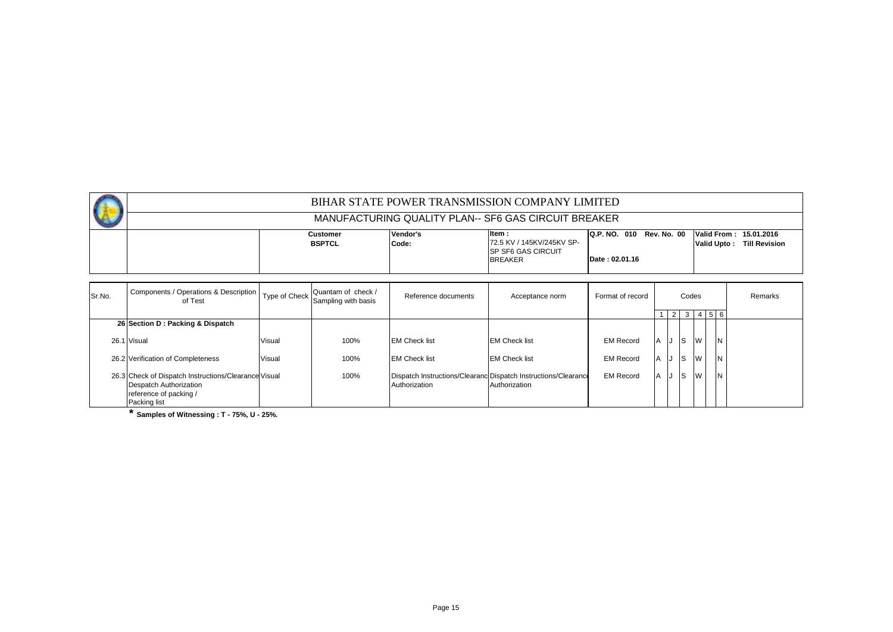| BIHAR STATE POWER TRANSMISSION COMPANY LIMITED       |                                  |                   |                                                                                    |                |  |                                                                                               |  |  |  |  |
|------------------------------------------------------|----------------------------------|-------------------|------------------------------------------------------------------------------------|----------------|--|-----------------------------------------------------------------------------------------------|--|--|--|--|
| MANUFACTURING QUALITY PLAN-- SF6 GAS CIRCUIT BREAKER |                                  |                   |                                                                                    |                |  |                                                                                               |  |  |  |  |
|                                                      | <b>Customer</b><br><b>BSPTCL</b> | Vendor's<br>Code: | ltem:<br>72.5 KV / 145KV/245KV SP-<br><b>ISP SF6 GAS CIRCUIT</b><br><b>BREAKER</b> | Date: 02.01.16 |  | Q.P. NO. 010 Rev. No. 00 Valid From: 15.01.2016<br><b>Till Revision</b><br><b>Valid Upto:</b> |  |  |  |  |

| Sr.No. | Components / Operations & Description   Type of Check   C<br>of Test                                                     |        | Quantam of check /<br>Sampling with basis | Reference documents  | Acceptance norm                                                                 | Format of record |          | Codes |          |           | Remarks |
|--------|--------------------------------------------------------------------------------------------------------------------------|--------|-------------------------------------------|----------------------|---------------------------------------------------------------------------------|------------------|----------|-------|----------|-----------|---------|
|        |                                                                                                                          |        |                                           |                      |                                                                                 |                  |          |       |          | 5 6       |         |
|        | 26 Section D: Packing & Dispatch                                                                                         |        |                                           |                      |                                                                                 |                  |          |       |          |           |         |
|        | 26.1 Visual                                                                                                              | Visual | 100%                                      | <b>EM Check list</b> | <b>EM Check list</b>                                                            | <b>EM Record</b> | IА.      | Is    | W        | <b>IN</b> |         |
|        | 26.2 Verification of Completeness                                                                                        | Visual | 100%                                      | <b>EM Check list</b> | <b>EM Check list</b>                                                            | <b>EM Record</b> | <b>A</b> | IS.   | <b>W</b> | IN.       |         |
|        | 26.3 Check of Dispatch Instructions/Clearance Visual<br>Despatch Authorization<br>reference of packing /<br>Packing list |        | 100%                                      | Authorization        | Dispatch Instructions/Clearanc Dispatch Instructions/Clearance<br>Authorization | <b>EM Record</b> | A        | Is    | W        | <b>N</b>  |         |

**\* Samples of Witnessing : T - 75%, U - 25%.**